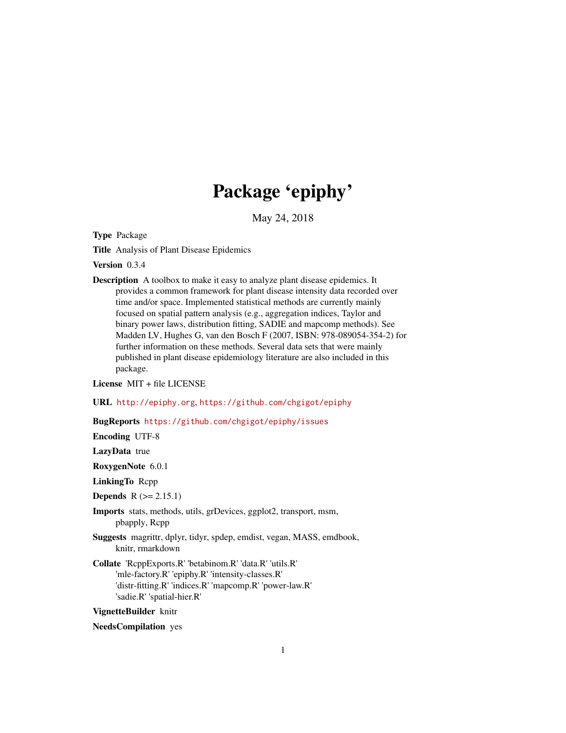# Package 'epiphy'

May 24, 2018

<span id="page-0-0"></span>Type Package

Title Analysis of Plant Disease Epidemics

Version 0.3.4

Description A toolbox to make it easy to analyze plant disease epidemics. It provides a common framework for plant disease intensity data recorded over time and/or space. Implemented statistical methods are currently mainly focused on spatial pattern analysis (e.g., aggregation indices, Taylor and binary power laws, distribution fitting, SADIE and mapcomp methods). See Madden LV, Hughes G, van den Bosch F (2007, ISBN: 978-089054-354-2) for further information on these methods. Several data sets that were mainly published in plant disease epidemiology literature are also included in this package.

License MIT + file LICENSE

URL <http://epiphy.org>, <https://github.com/chgigot/epiphy>

BugReports <https://github.com/chgigot/epiphy/issues>

Encoding UTF-8

LazyData true

RoxygenNote 6.0.1

LinkingTo Rcpp

**Depends**  $R (= 2.15.1)$ 

- Imports stats, methods, utils, grDevices, ggplot2, transport, msm, pbapply, Rcpp
- Suggests magrittr, dplyr, tidyr, spdep, emdist, vegan, MASS, emdbook, knitr, rmarkdown
- Collate 'RcppExports.R' 'betabinom.R' 'data.R' 'utils.R' 'mle-factory.R' 'epiphy.R' 'intensity-classes.R' 'distr-fitting.R' 'indices.R' 'mapcomp.R' 'power-law.R' 'sadie.R' 'spatial-hier.R'

VignetteBuilder knitr

NeedsCompilation yes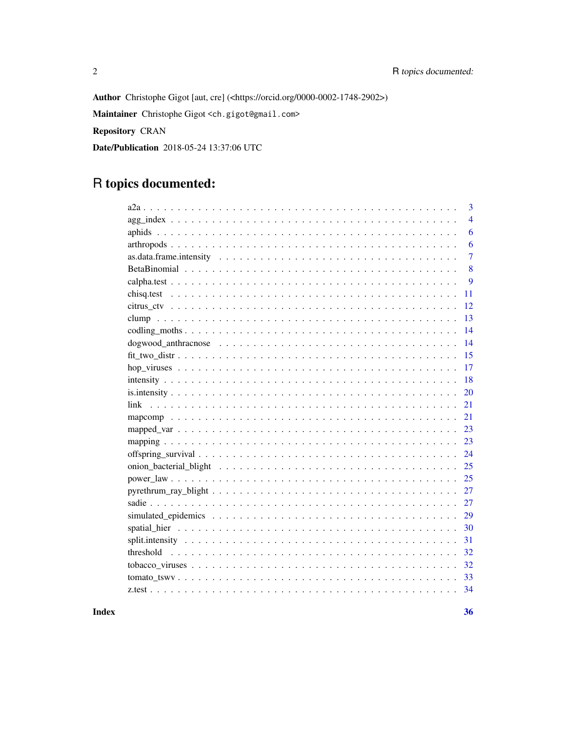Author Christophe Gigot [aut, cre] (<https://orcid.org/0000-0002-1748-2902>)

Maintainer Christophe Gigot <ch.gigot@gmail.com>

Repository CRAN

Date/Publication 2018-05-24 13:37:06 UTC

# R topics documented:

| 3              |
|----------------|
| $\overline{4}$ |
| 6              |
| 6              |
| $\overline{7}$ |
| 8              |
| 9              |
| 11             |
| 12             |
| 13             |
| 14             |
| 14             |
| 15             |
| 17             |
| 18             |
| 20             |
| 21             |
| 21             |
| 23             |
| 23             |
| 24             |
| 25             |
| 25             |
| 27             |
| 27             |
| 29             |
| 30             |
| 31             |
| 32             |
| 32             |
| 33             |
| 34             |
|                |

**Index**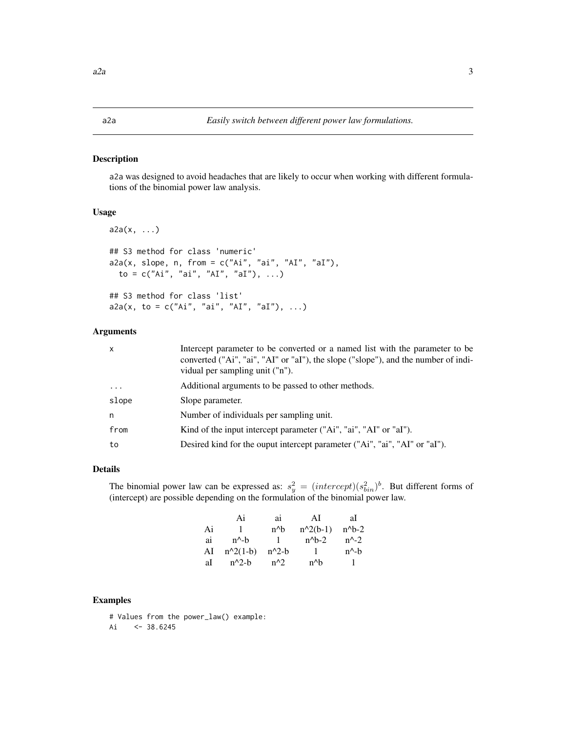<span id="page-2-0"></span>a2a was designed to avoid headaches that are likely to occur when working with different formulations of the binomial power law analysis.

# Usage

```
a2a(x, ...)
## S3 method for class 'numeric'
a2a(x, slope, n, from = c("Ai", "ai", "AI", "aI"),
  to = c("Ai", "ai", "AI", "aI"), ...)
## S3 method for class 'list'
a2a(x, to = c("Ai", "ai", "AI", "aI"), ...)
```
# Arguments

| x        | Intercept parameter to be converted or a named list with the parameter to be<br>converted ("Ai", "ai", "AI" or "aI"), the slope ("slope"), and the number of indi-<br>vidual per sampling unit ("n"). |
|----------|-------------------------------------------------------------------------------------------------------------------------------------------------------------------------------------------------------|
| $\cdots$ | Additional arguments to be passed to other methods.                                                                                                                                                   |
| slope    | Slope parameter.                                                                                                                                                                                      |
| n        | Number of individuals per sampling unit.                                                                                                                                                              |
| from     | Kind of the input intercept parameter ("Ai", "ai", "AI" or "aI").                                                                                                                                     |
| to       | Desired kind for the ouput intercept parameter ("Ai", "ai", "AI" or "aI").                                                                                                                            |

# Details

The binomial power law can be expressed as:  $s_y^2 = (intercept)(s_{bin}^2)^b$ . But different forms of (intercept) are possible depending on the formulation of the binomial power law.

|    | Ai              | ai      | ΑI         | al              |
|----|-----------------|---------|------------|-----------------|
| Ai | -1.             | n^b     | $n^2(b-1)$ | $n^b-2$         |
| ai | $n^{\wedge}$ -h | - 1 -   | $n^h-2$    | $n^2-2$         |
| AI | $n^2(1-b)$      | $n^2-b$ |            | $n^{\wedge}$ -h |
| aI | $n^2-h$         | $n^2$   | n^b        |                 |

# Examples

# Values from the power\_law() example: Ai  $\leq$  38.6245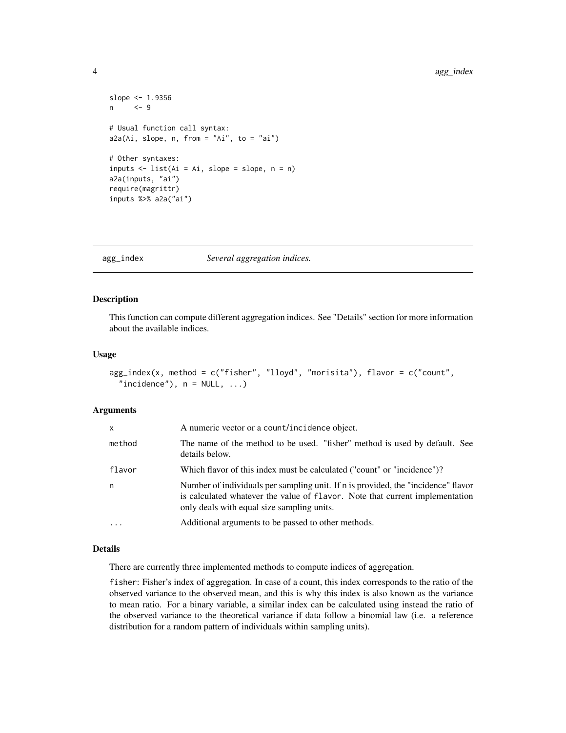```
slope <- 1.9356
n <- 9
# Usual function call syntax:
a2a(Ai, slope, n, from = "Ai", to = "ai")# Other syntaxes:
inputs \le list(Ai = Ai, slope = slope, n = n)
a2a(inputs, "ai")
require(magrittr)
inputs %>% a2a("ai")
```
<span id="page-3-1"></span>agg\_index *Several aggregation indices.*

# Description

This function can compute different aggregation indices. See "Details" section for more information about the available indices.

# Usage

```
agg_index(x, method = c("fisher", "lloyd", "morisita"), flavor = c("count",
  "incidence"), n = NULL, ...)
```
# Arguments

| x          | A numeric vector or a count/incidence object.                                                                                                                                                                   |
|------------|-----------------------------------------------------------------------------------------------------------------------------------------------------------------------------------------------------------------|
| method     | The name of the method to be used. "fisher" method is used by default. See<br>details below.                                                                                                                    |
| flavor     | Which flavor of this index must be calculated ("count" or "incidence")?                                                                                                                                         |
| n          | Number of individuals per sampling unit. If n is provided, the "incidence" flavor<br>is calculated whatever the value of flavor. Note that current implementation<br>only deals with equal size sampling units. |
| $\ddots$ . | Additional arguments to be passed to other methods.                                                                                                                                                             |

# Details

There are currently three implemented methods to compute indices of aggregation.

fisher: Fisher's index of aggregation. In case of a count, this index corresponds to the ratio of the observed variance to the observed mean, and this is why this index is also known as the variance to mean ratio. For a binary variable, a similar index can be calculated using instead the ratio of the observed variance to the theoretical variance if data follow a binomial law (i.e. a reference distribution for a random pattern of individuals within sampling units).

<span id="page-3-0"></span>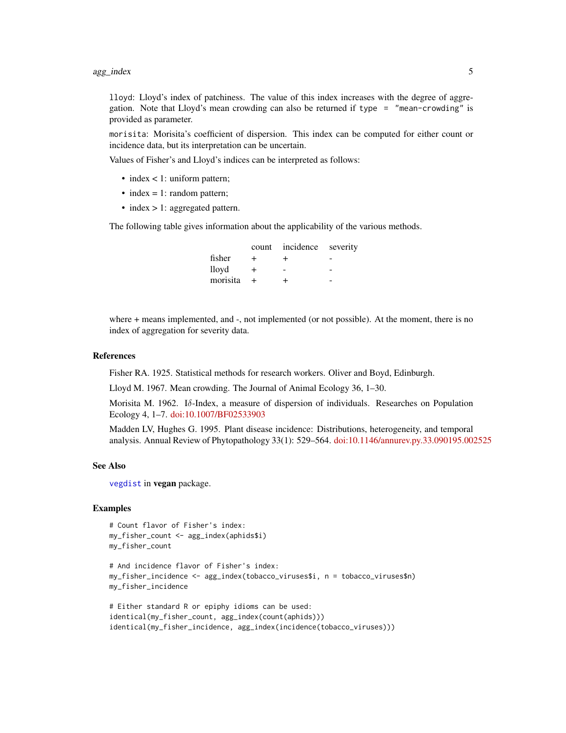<span id="page-4-0"></span>lloyd: Lloyd's index of patchiness. The value of this index increases with the degree of aggregation. Note that Lloyd's mean crowding can also be returned if type = "mean-crowding" is provided as parameter.

morisita: Morisita's coefficient of dispersion. This index can be computed for either count or incidence data, but its interpretation can be uncertain.

Values of Fisher's and Lloyd's indices can be interpreted as follows:

- index < 1: uniform pattern;
- index  $= 1$ : random pattern;
- index > 1: aggregated pattern.

The following table gives information about the applicability of the various methods.

|          |        | count incidence severity |  |
|----------|--------|--------------------------|--|
| fisher   | +      | +                        |  |
| lloyd    | $\div$ |                          |  |
| morisita |        |                          |  |

where + means implemented, and -, not implemented (or not possible). At the moment, there is no index of aggregation for severity data.

#### References

Fisher RA. 1925. Statistical methods for research workers. Oliver and Boyd, Edinburgh.

Lloyd M. 1967. Mean crowding. The Journal of Animal Ecology 36, 1–30.

Morisita M. 1962. Iδ-Index, a measure of dispersion of individuals. Researches on Population Ecology 4, 1–7. [doi:10.1007/BF02533903](http://dx.doi.org/doi:10.1007/BF02533903)

Madden LV, Hughes G. 1995. Plant disease incidence: Distributions, heterogeneity, and temporal analysis. Annual Review of Phytopathology 33(1): 529–564. [doi:10.1146/annurev.py.33.090195.002525](http://dx.doi.org/doi:10.1146/annurev.py.33.090195.002525)

#### See Also

[vegdist](#page-0-0) in vegan package.

# Examples

```
# Count flavor of Fisher's index:
my_fisher_count <- agg_index(aphids$i)
my_fisher_count
```

```
# And incidence flavor of Fisher's index:
my_fisher_incidence <- agg_index(tobacco_viruses$i, n = tobacco_viruses$n)
my_fisher_incidence
```

```
# Either standard R or epiphy idioms can be used:
identical(my_fisher_count, agg_index(count(aphids)))
identical(my_fisher_incidence, agg_index(incidence(tobacco_viruses)))
```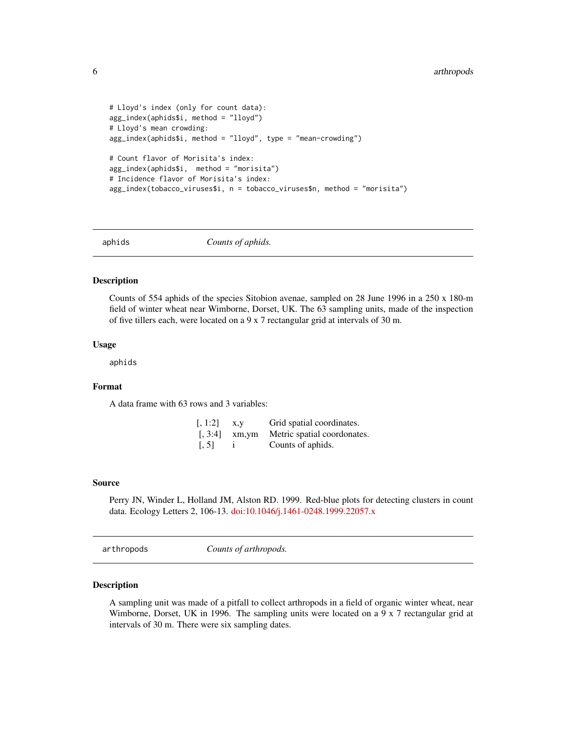```
# Lloyd's index (only for count data):
agg_index(aphids$i, method = "lloyd")
# Lloyd's mean crowding:
agg_index(aphids$i, method = "lloyd", type = "mean-crowding")
# Count flavor of Morisita's index:
agg_index(aphids$i, method = "morisita")
# Incidence flavor of Morisita's index:
agg_index(tobacco_viruses$i, n = tobacco_viruses$n, method = "morisita")
```
aphids *Counts of aphids.*

### **Description**

Counts of 554 aphids of the species Sitobion avenae, sampled on 28 June 1996 in a 250 x 180-m field of winter wheat near Wimborne, Dorset, UK. The 63 sampling units, made of the inspection of five tillers each, were located on a 9 x 7 rectangular grid at intervals of 30 m.

#### Usage

aphids

# Format

A data frame with 63 rows and 3 variables:

| $\left[ 1:2\right]$ | X.V            | Grid spatial coordinates.   |
|---------------------|----------------|-----------------------------|
|                     | $5.3:4$ xm, ym | Metric spatial coordonates. |
| [, 5]               |                | Counts of aphids.           |

#### Source

Perry JN, Winder L, Holland JM, Alston RD. 1999. Red-blue plots for detecting clusters in count data. Ecology Letters 2, 106-13. [doi:10.1046/j.1461-0248.1999.22057.x](http://dx.doi.org/10.1046/j.1461-0248.1999.22057.x)

arthropods *Counts of arthropods.*

# Description

A sampling unit was made of a pitfall to collect arthropods in a field of organic winter wheat, near Wimborne, Dorset, UK in 1996. The sampling units were located on a 9 x 7 rectangular grid at intervals of 30 m. There were six sampling dates.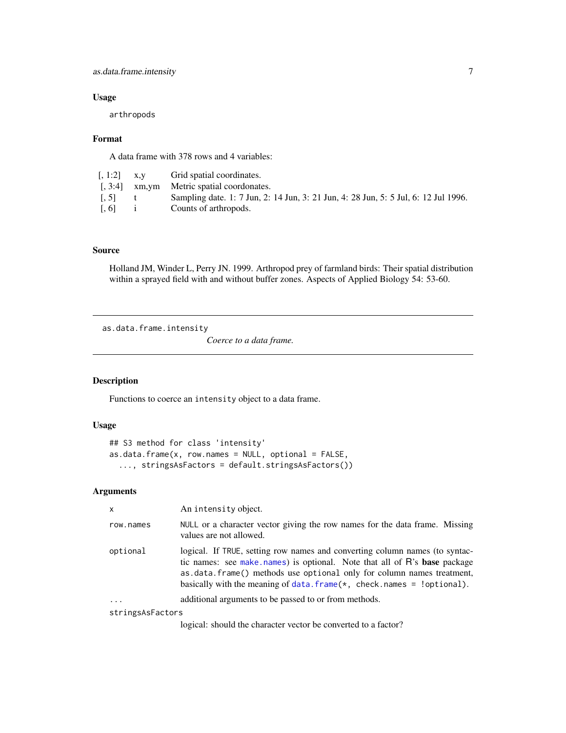# <span id="page-6-0"></span>as.data.frame.intensity 7

# Usage

arthropods

# Format

A data frame with 378 rows and 4 variables:

| $\left[ 1:2 \right]$ x,y |              | Grid spatial coordinates.                                                           |
|--------------------------|--------------|-------------------------------------------------------------------------------------|
|                          |              | $\left[$ , 3:4 $\right]$ xm, ym Metric spatial coordonates.                         |
| $\left[ .5\right]$       | $\mathbf{t}$ | Sampling date. 1: 7 Jun, 2: 14 Jun, 3: 21 Jun, 4: 28 Jun, 5: 5 Jul, 6: 12 Jul 1996. |
| [0, 6]                   | $\mathbf{1}$ | Counts of arthropods.                                                               |

# Source

Holland JM, Winder L, Perry JN. 1999. Arthropod prey of farmland birds: Their spatial distribution within a sprayed field with and without buffer zones. Aspects of Applied Biology 54: 53-60.

as.data.frame.intensity

*Coerce to a data frame.*

# Description

Functions to coerce an intensity object to a data frame.

# Usage

```
## S3 method for class 'intensity'
as.data.frame(x, row.names = NULL, optional = FALSE,
  ..., stringsAsFactors = default.stringsAsFactors())
```
# Arguments

| X                | An intensity object.                                                                                                                                                                                                                                                                                             |
|------------------|------------------------------------------------------------------------------------------------------------------------------------------------------------------------------------------------------------------------------------------------------------------------------------------------------------------|
| row.names        | NULL or a character vector giving the row names for the data frame. Missing<br>values are not allowed.                                                                                                                                                                                                           |
| optional         | logical. If TRUE, setting row names and converting column names (to syntac-<br>tic names: see make names) is optional. Note that all of R's base package<br>as .data.frame() methods use optional only for column names treatment,<br>basically with the meaning of data. $frame(x, check. names = 1$ optional). |
| $\cdots$         | additional arguments to be passed to or from methods.                                                                                                                                                                                                                                                            |
| stringsAsFactors |                                                                                                                                                                                                                                                                                                                  |
|                  | logical: should the character vector be converted to a factor?                                                                                                                                                                                                                                                   |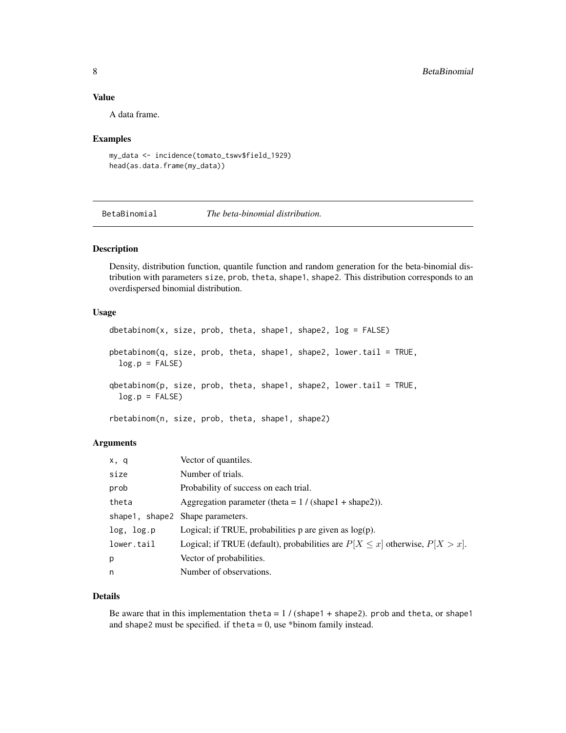# <span id="page-7-0"></span>Value

A data frame.

# Examples

```
my_data <- incidence(tomato_tswv$field_1929)
head(as.data.frame(my_data))
```
BetaBinomial *The beta-binomial distribution.*

# <span id="page-7-1"></span>Description

Density, distribution function, quantile function and random generation for the beta-binomial distribution with parameters size, prob, theta, shape1, shape2. This distribution corresponds to an overdispersed binomial distribution.

# Usage

```
dbetabinom(x, size, prob, theta, shape1, shape2, log = FALSE)
pbetabinom(q, size, prob, theta, shape1, shape2, lower.tail = TRUE,
 log.p = FALSE)qbetabinom(p, size, prob, theta, shape1, shape2, lower.tail = TRUE,
 log.p = FALSE)
```
rbetabinom(n, size, prob, theta, shape1, shape2)

# Arguments

| x, q       | Vector of quantiles.                                                               |
|------------|------------------------------------------------------------------------------------|
| size       | Number of trials.                                                                  |
| prob       | Probability of success on each trial.                                              |
| theta      | Aggregation parameter (theta = $1 / (shape1 + shape2)$ ).                          |
|            | shape1, shape2 Shape parameters.                                                   |
| log, log.p | Logical; if TRUE, probabilities $p$ are given as $log(p)$ .                        |
| lower.tail | Logical; if TRUE (default), probabilities are $P[X \le x]$ otherwise, $P[X > x]$ . |
| p          | Vector of probabilities.                                                           |
| n          | Number of observations.                                                            |

# Details

Be aware that in this implementation theta =  $1/$  (shape1 + shape2). prob and theta, or shape1 and shape2 must be specified. if theta =  $0$ , use \*binom family instead.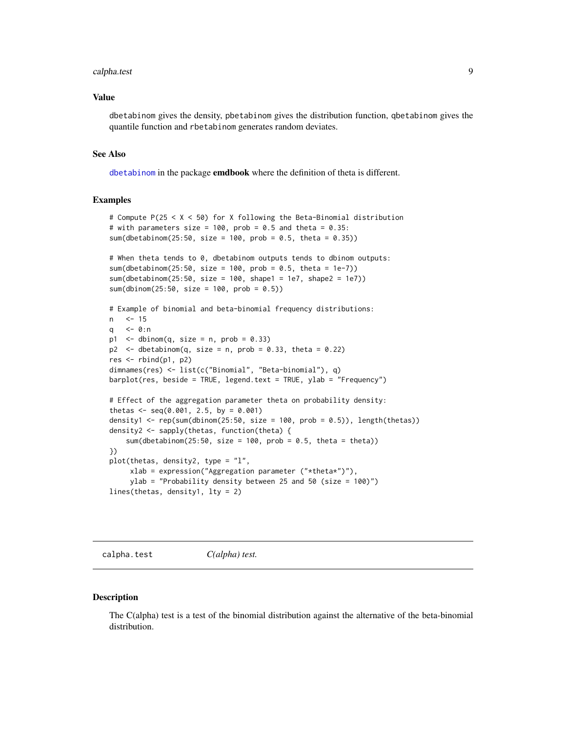#### <span id="page-8-0"></span>calpha.test 9

#### Value

dbetabinom gives the density, pbetabinom gives the distribution function, qbetabinom gives the quantile function and rbetabinom generates random deviates.

#### See Also

[dbetabinom](#page-7-1) in the package emdbook where the definition of theta is different.

# Examples

```
# Compute P(25 < X < 50) for X following the Beta-Binomial distribution
# with parameters size = 100, prob = 0.5 and theta = 0.35:
sum(dbetabinom(25:50, size = 100, prob = 0.5, theta = 0.35))
# When theta tends to 0, dbetabinom outputs tends to dbinom outputs:
sum(dbetabinom(25:50, size = 100, prob = 0.5, theta = 1e-7))
sum(dbetabinom(25:50, size = 100, shape1 = 1e7, shape2 = 1e7))
sum(dbinom(25:50, size = 100, prob = 0.5))
# Example of binomial and beta-binomial frequency distributions:
n <- 15
q <- 0:n
p1 \le - dbinom(q, size = n, prob = 0.33)
p2 \le - dbetabinom(q, size = n, prob = 0.33, theta = 0.22)
res <- rbind(p1, p2)
dimnames(res) <- list(c("Binomial", "Beta-binomial"), q)
barplot(res, beside = TRUE, legend.text = TRUE, ylab = "Frequency")
# Effect of the aggregation parameter theta on probability density:
thetas \leq seq(0.001, 2.5, by = 0.001)
density1 <- rep(sum(dbinom(25:50, size = 100, prob = 0.5)), length(thetas))
density2 <- sapply(thetas, function(theta) {
    sum(dbetabinom(25:50, size = 100, prob = 0.5, theta = theta))
})
plot(thetas, density2, type = "l",
     xlab = expression("Aggregation parameter ("*theta*")"),
     ylab = "Probability density between 25 and 50 (size = 100)")
lines(thetas, density1, lty = 2)
```
<span id="page-8-1"></span>calpha.test *C(alpha) test.*

#### Description

The C(alpha) test is a test of the binomial distribution against the alternative of the beta-binomial distribution.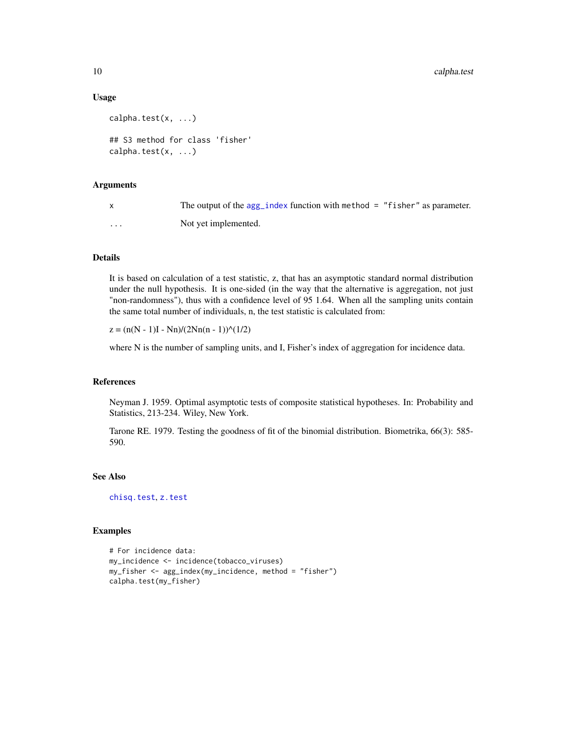# Usage

```
calpha.test(x, ...)
## S3 method for class 'fisher'
calpha.test(x, \ldots)
```
# Arguments

| $\mathsf{X}$ | The output of the $\arg_i$ index function with method = "fisher" as parameter. |
|--------------|--------------------------------------------------------------------------------|
| .            | Not vet implemented.                                                           |

# **Details**

It is based on calculation of a test statistic, z, that has an asymptotic standard normal distribution under the null hypothesis. It is one-sided (in the way that the alternative is aggregation, not just "non-randomness"), thus with a confidence level of 95 1.64. When all the sampling units contain the same total number of individuals, n, the test statistic is calculated from:

 $z = (n(N - 1)I - Nn)/(2Nn(n - 1))<sup>^</sup>(1/2)$ 

where N is the number of sampling units, and I, Fisher's index of aggregation for incidence data.

# References

Neyman J. 1959. Optimal asymptotic tests of composite statistical hypotheses. In: Probability and Statistics, 213-234. Wiley, New York.

Tarone RE. 1979. Testing the goodness of fit of the binomial distribution. Biometrika, 66(3): 585- 590.

# See Also

[chisq.test](#page-10-1), [z.test](#page-33-1)

# Examples

```
# For incidence data:
my_incidence <- incidence(tobacco_viruses)
my_fisher <- agg_index(my_incidence, method = "fisher")
calpha.test(my_fisher)
```
<span id="page-9-0"></span>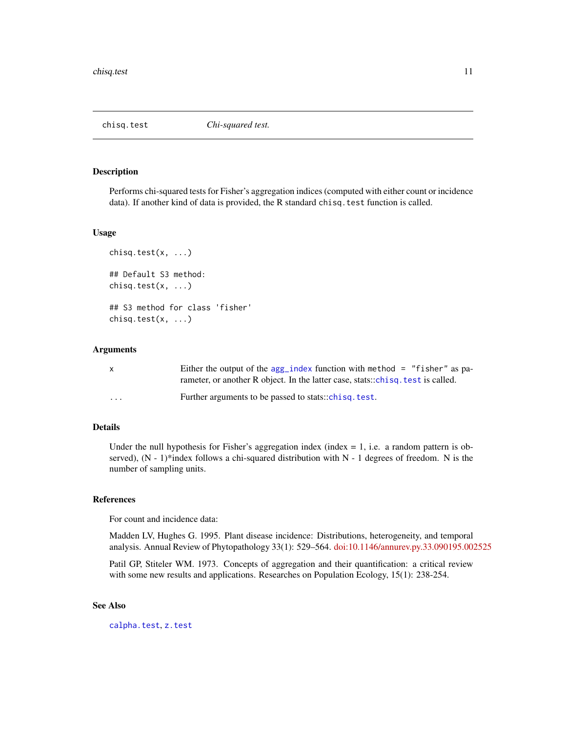<span id="page-10-1"></span><span id="page-10-0"></span>

Performs chi-squared tests for Fisher's aggregation indices (computed with either count or incidence data). If another kind of data is provided, the R standard chisq.test function is called.

#### Usage

```
chisq.test(x, \ldots)## Default S3 method:
chisq.test(x, ...)
## S3 method for class 'fisher'
chisq.test(x, ...)
```
# Arguments

| $\mathsf{x}$ | Either the output of the $agg\_index$ function with method = "fisher" as pa-    |
|--------------|---------------------------------------------------------------------------------|
|              | rameter, or another R object. In the latter case, stats::chisq. test is called. |
| $\cdots$     | Further arguments to be passed to stats::chisq.test.                            |

# Details

Under the null hypothesis for Fisher's aggregation index (index  $= 1$ , i.e. a random pattern is observed), (N - 1)\*index follows a chi-squared distribution with N - 1 degrees of freedom. N is the number of sampling units.

# References

For count and incidence data:

Madden LV, Hughes G. 1995. Plant disease incidence: Distributions, heterogeneity, and temporal analysis. Annual Review of Phytopathology 33(1): 529–564. [doi:10.1146/annurev.py.33.090195.002525](http://dx.doi.org/doi:10.1146/annurev.py.33.090195.002525)

Patil GP, Stiteler WM. 1973. Concepts of aggregation and their quantification: a critical review with some new results and applications. Researches on Population Ecology, 15(1): 238-254.

# See Also

[calpha.test](#page-8-1), [z.test](#page-33-1)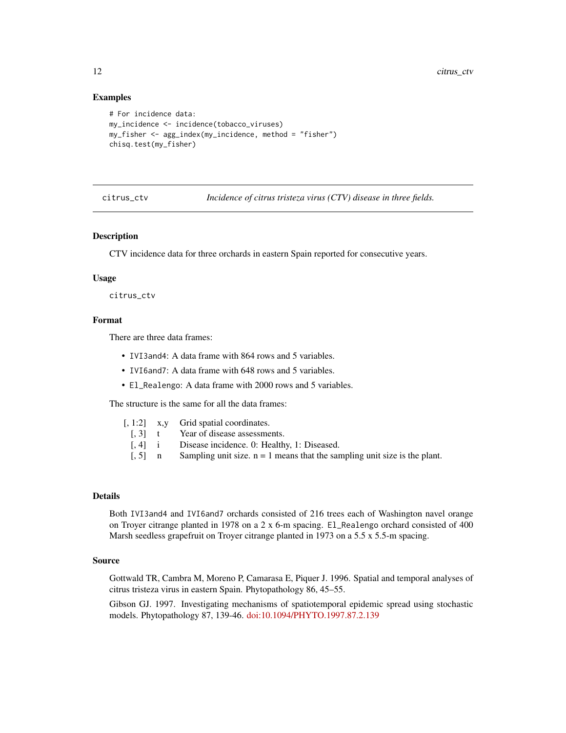# Examples

```
# For incidence data:
my_incidence <- incidence(tobacco_viruses)
my_fisher \leq agg\_index(my_iincidence, method = "fisher")chisq.test(my_fisher)
```
citrus\_ctv *Incidence of citrus tristeza virus (CTV) disease in three fields.*

# Description

CTV incidence data for three orchards in eastern Spain reported for consecutive years.

#### Usage

citrus\_ctv

# Format

There are three data frames:

- IVI3and4: A data frame with 864 rows and 5 variables.
- IVI6and7: A data frame with 648 rows and 5 variables.
- El\_Realengo: A data frame with 2000 rows and 5 variables.

The structure is the same for all the data frames:

|  | [, 1:2] | x,y |  | Grid spatial coordinates. |
|--|---------|-----|--|---------------------------|
|--|---------|-----|--|---------------------------|

- [, 3] t Year of disease assessments.
- [, 4] i Disease incidence. 0: Healthy, 1: Diseased.
- $\begin{bmatrix} 1, 5 \end{bmatrix}$  n Sampling unit size. n = 1 means that the sampling unit size is the plant.

#### Details

Both IVI3and4 and IVI6and7 orchards consisted of 216 trees each of Washington navel orange on Troyer citrange planted in 1978 on a  $2 \times 6$ -m spacing. El\_Realengo orchard consisted of 400 Marsh seedless grapefruit on Troyer citrange planted in 1973 on a 5.5 x 5.5-m spacing.

#### Source

Gottwald TR, Cambra M, Moreno P, Camarasa E, Piquer J. 1996. Spatial and temporal analyses of citrus tristeza virus in eastern Spain. Phytopathology 86, 45–55.

Gibson GJ. 1997. Investigating mechanisms of spatiotemporal epidemic spread using stochastic models. Phytopathology 87, 139-46. [doi:10.1094/PHYTO.1997.87.2.139](http://dx.doi.org/10.1094/PHYTO.1997.87.2.139)

<span id="page-11-0"></span>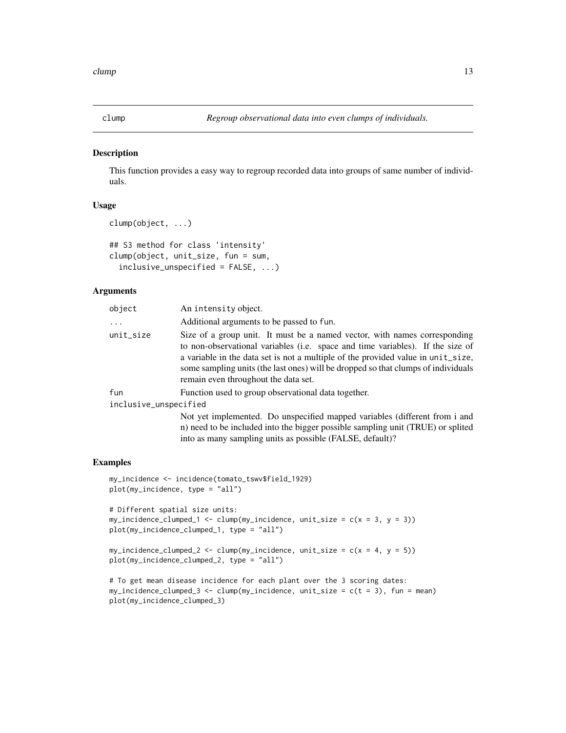<span id="page-12-0"></span>

This function provides a easy way to regroup recorded data into groups of same number of individuals.

#### Usage

```
clump(object, ...)
```

```
## S3 method for class 'intensity'
clump(object, unit_size, fun = sum,
  inclusive\_unspecified = FALSE, ...)
```
# **Arguments**

| object                | An intensity object.                                                                                                                                                                                                                                                                                                                                                         |
|-----------------------|------------------------------------------------------------------------------------------------------------------------------------------------------------------------------------------------------------------------------------------------------------------------------------------------------------------------------------------------------------------------------|
| $\cdots$              | Additional arguments to be passed to fun.                                                                                                                                                                                                                                                                                                                                    |
| unit_size             | Size of a group unit. It must be a named vector, with names corresponding<br>to non-observational variables (i.e. space and time variables). If the size of<br>a variable in the data set is not a multiple of the provided value in unit_size,<br>some sampling units (the last ones) will be dropped so that clumps of individuals<br>remain even throughout the data set. |
| fun                   | Function used to group observational data together.                                                                                                                                                                                                                                                                                                                          |
| inclusive_unspecified |                                                                                                                                                                                                                                                                                                                                                                              |
|                       | Not yet implemented. Do unspecified mapped variables (different from i and<br>n) need to be included into the bigger possible sampling unit (TRUE) or splited                                                                                                                                                                                                                |

into as many sampling units as possible (FALSE, default)?

#### Examples

```
my_incidence <- incidence(tomato_tswv$field_1929)
plot(my_incidence, type = "all")
# Different spatial size units:
my\_incidence\_clumped\_1 \leq clump(my\_incidence, unit\_size = c(x = 3, y = 3))plot(my_incidence_clumped_1, type = "all")
my\_incidence\_clumped\_2 \leq clump(my\_incidence, unit\_size = c(x = 4, y = 5))
```

```
plot(my_incidence_clumped_2, type = "all")
```

```
# To get mean disease incidence for each plant over the 3 scoring dates:
my\_incidence\_clumped_3 \leftarrow clump(my\_incidence, unit\_size = c(t = 3), fun = mean)plot(my_incidence_clumped_3)
```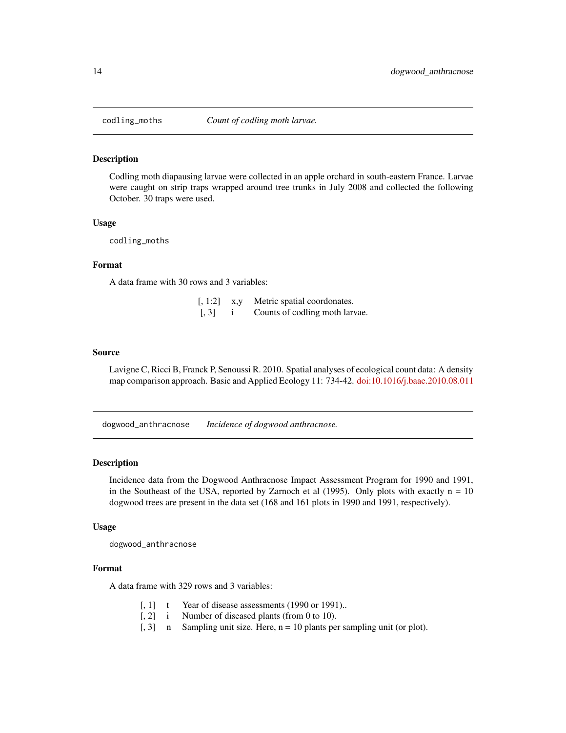<span id="page-13-0"></span>

Codling moth diapausing larvae were collected in an apple orchard in south-eastern France. Larvae were caught on strip traps wrapped around tree trunks in July 2008 and collected the following October. 30 traps were used.

# Usage

codling\_moths

# Format

A data frame with 30 rows and 3 variables:

| $[, 1:2]$ x,y     | Metric spatial coordonates.    |
|-------------------|--------------------------------|
| $\lceil, 3\rceil$ | Counts of codling moth larvae. |

#### Source

Lavigne C, Ricci B, Franck P, Senoussi R. 2010. Spatial analyses of ecological count data: A density map comparison approach. Basic and Applied Ecology 11: 734-42. [doi:10.1016/j.baae.2010.08.011](http://dx.doi.org/10.1016/j.baae.2010.08.011)

dogwood\_anthracnose *Incidence of dogwood anthracnose.*

# Description

Incidence data from the Dogwood Anthracnose Impact Assessment Program for 1990 and 1991, in the Southeast of the USA, reported by Zarnoch et al (1995). Only plots with exactly  $n = 10$ dogwood trees are present in the data set (168 and 161 plots in 1990 and 1991, respectively).

#### Usage

dogwood\_anthracnose

# Format

A data frame with 329 rows and 3 variables:

- [, 1] t Year of disease assessments (1990 or 1991)..
- [, 2] i Number of diseased plants (from 0 to 10).
- [, 3] n Sampling unit size. Here, n = 10 plants per sampling unit (or plot).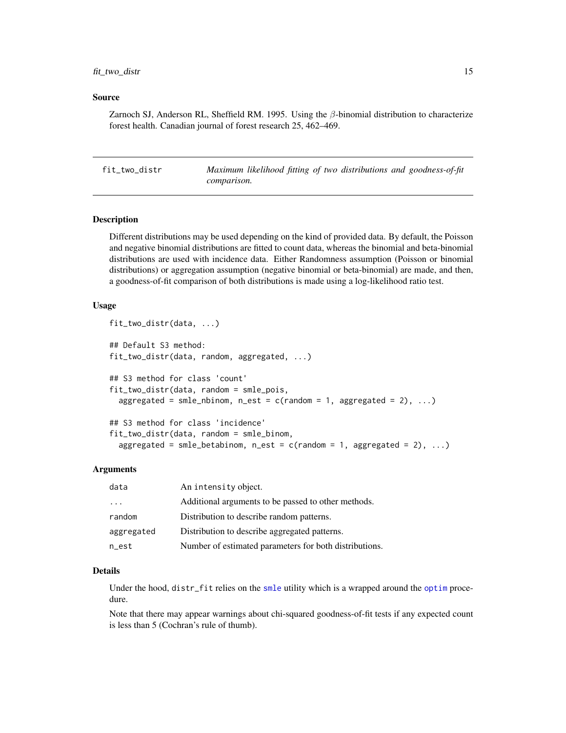# <span id="page-14-0"></span>fit\_two\_distr 15

# Source

Zarnoch SJ, Anderson RL, Sheffield RM. 1995. Using the  $\beta$ -binomial distribution to characterize forest health. Canadian journal of forest research 25, 462–469.

fit\_two\_distr *Maximum likelihood fitting of two distributions and goodness-of-fit comparison.*

# Description

Different distributions may be used depending on the kind of provided data. By default, the Poisson and negative binomial distributions are fitted to count data, whereas the binomial and beta-binomial distributions are used with incidence data. Either Randomness assumption (Poisson or binomial distributions) or aggregation assumption (negative binomial or beta-binomial) are made, and then, a goodness-of-fit comparison of both distributions is made using a log-likelihood ratio test.

# Usage

```
fit_two_distr(data, ...)
## Default S3 method:
fit_two_distr(data, random, aggregated, ...)
## S3 method for class 'count'
fit_two_distr(data, random = smle_pois,
  aggregated = smle_nbinom, n_est = c(random = 1, aggregated = 2), ...)
## S3 method for class 'incidence'
fit_two_distr(data, random = smle_binom,
  aggregated = smle_betabinom, n_{est} = c(rand) = 1, aggregated = 2), ...)
```
# Arguments

| data                    | An intensity object.                                   |
|-------------------------|--------------------------------------------------------|
| $\cdot$ $\cdot$ $\cdot$ | Additional arguments to be passed to other methods.    |
| random                  | Distribution to describe random patterns.              |
| aggregated              | Distribution to describe aggregated patterns.          |
| n_est                   | Number of estimated parameters for both distributions. |

# Details

Under the hood, distr\_fit relies on the [smle](#page-0-0) utility which is a wrapped around the [optim](#page-0-0) procedure.

Note that there may appear warnings about chi-squared goodness-of-fit tests if any expected count is less than 5 (Cochran's rule of thumb).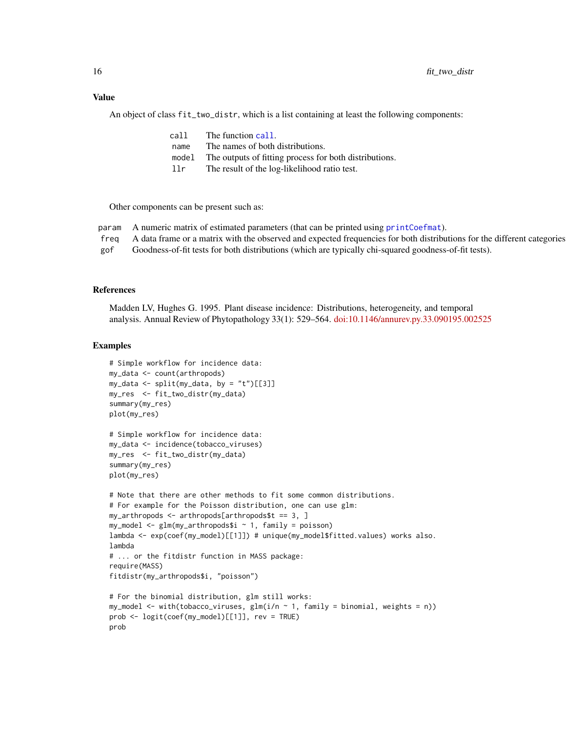#### <span id="page-15-0"></span>Value

An object of class fit\_two\_distr, which is a list containing at least the following components:

| call  | The function call.                                     |
|-------|--------------------------------------------------------|
| name  | The names of both distributions.                       |
| model | The outputs of fitting process for both distributions. |
| 11r   | The result of the log-likelihood ratio test.           |
|       |                                                        |

Other components can be present such as:

| param A numeric matrix of estimated parameters (that can be printed using printCoefmat).                                     |
|------------------------------------------------------------------------------------------------------------------------------|
| freq A data frame or a matrix with the observed and expected frequencies for both distributions for the different categories |

gof Goodness-of-fit tests for both distributions (which are typically chi-squared goodness-of-fit tests).

# References

Madden LV, Hughes G. 1995. Plant disease incidence: Distributions, heterogeneity, and temporal analysis. Annual Review of Phytopathology 33(1): 529–564. [doi:10.1146/annurev.py.33.090195.002525](http://dx.doi.org/doi:10.1146/annurev.py.33.090195.002525)

# Examples

```
# Simple workflow for incidence data:
my_data <- count(arthropods)
my_data \leq split(my_data, by = "t")[[3]]my_res <- fit_two_distr(my_data)
summary(my_res)
plot(my_res)
# Simple workflow for incidence data:
my_data <- incidence(tobacco_viruses)
my_res <- fit_two_distr(my_data)
summary(my_res)
plot(my_res)
# Note that there are other methods to fit some common distributions.
# For example for the Poisson distribution, one can use glm:
my_arthropods <- arthropods[arthropods$t == 3, ]
my_model \leq-glm(my_arthropods$i \sim 1, family = poisson)lambda <- exp(coef(my_model)[[1]]) # unique(my_model$fitted.values) works also.
lambda
# ... or the fitdistr function in MASS package:
require(MASS)
fitdistr(my_arthropods$i, "poisson")
# For the binomial distribution, glm still works:
my_model <- with(tobacco_viruses, glm(i/n \sim 1, family = binomial, weights = n))
prob <- logit(coef(my_model)[[1]], rev = TRUE)
prob
```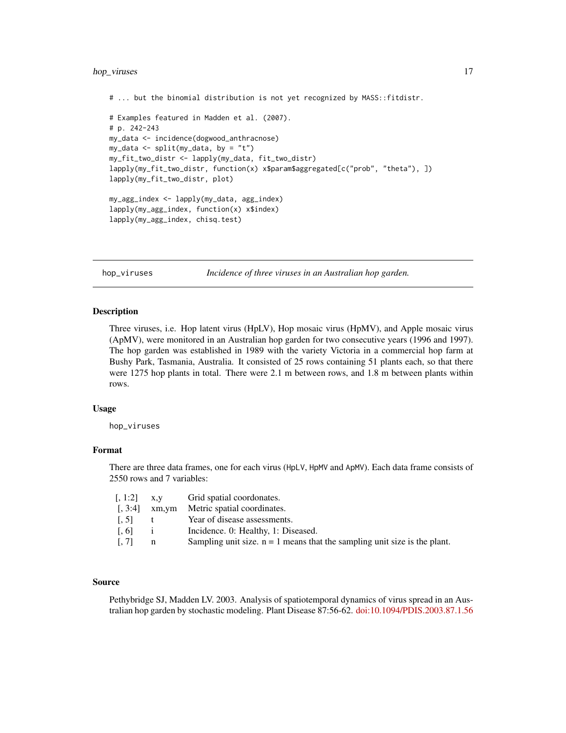# <span id="page-16-0"></span>hop\_viruses 17

```
# ... but the binomial distribution is not yet recognized by MASS::fitdistr.
# Examples featured in Madden et al. (2007).
# p. 242-243
my_data <- incidence(dogwood_anthracnose)
my_data <- split(my_data, by = "t")
my_fit_two_distr <- lapply(my_data, fit_two_distr)
lapply(my_fit_two_distr, function(x) x$param$aggregated[c("prob", "theta"), ])
lapply(my_fit_two_distr, plot)
my_agg_index <- lapply(my_data, agg_index)
lapply(my_agg_index, function(x) x$index)
lapply(my_agg_index, chisq.test)
```
hop\_viruses *Incidence of three viruses in an Australian hop garden.*

# **Description**

Three viruses, i.e. Hop latent virus (HpLV), Hop mosaic virus (HpMV), and Apple mosaic virus (ApMV), were monitored in an Australian hop garden for two consecutive years (1996 and 1997). The hop garden was established in 1989 with the variety Victoria in a commercial hop farm at Bushy Park, Tasmania, Australia. It consisted of 25 rows containing 51 plants each, so that there were 1275 hop plants in total. There were 2.1 m between rows, and 1.8 m between plants within rows.

# Usage

hop\_viruses

# Format

There are three data frames, one for each virus (HpLV, HpMV and ApMV). Each data frame consists of 2550 rows and 7 variables:

| $\left[ 1:2\right]$ | X.V   | Grid spatial coordonates.                                                   |
|---------------------|-------|-----------------------------------------------------------------------------|
| [.3:4]              | xm,ym | Metric spatial coordinates.                                                 |
| 1.51                | t     | Year of disease assessments.                                                |
| [0.6]               |       | Incidence. 0: Healthy, 1: Diseased.                                         |
| [.7]                | n     | Sampling unit size. $n = 1$ means that the sampling unit size is the plant. |

#### Source

Pethybridge SJ, Madden LV. 2003. Analysis of spatiotemporal dynamics of virus spread in an Australian hop garden by stochastic modeling. Plant Disease 87:56-62. [doi:10.1094/PDIS.2003.87.1.56](http://dx.doi.org/10.1094/PDIS.2003.87.1.56)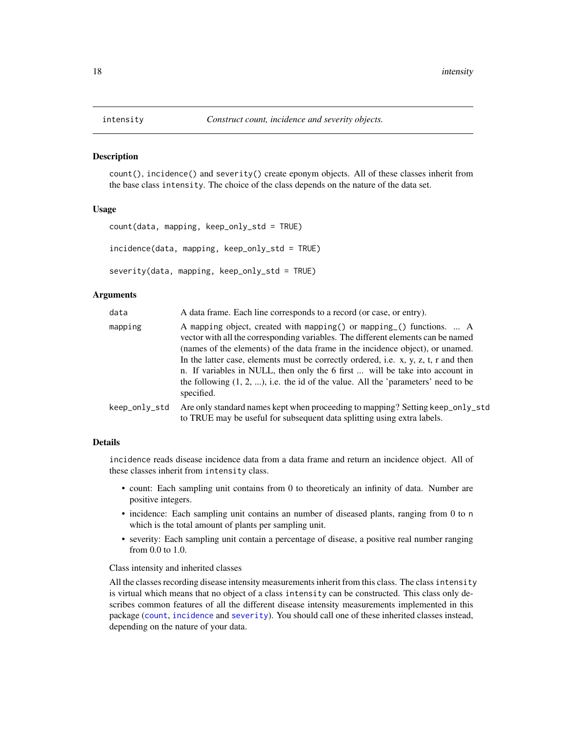<span id="page-17-1"></span><span id="page-17-0"></span>

count(), incidence() and severity() create eponym objects. All of these classes inherit from the base class intensity. The choice of the class depends on the nature of the data set.

# Usage

```
count(data, mapping, keep_only_std = TRUE)
incidence(data, mapping, keep_only_std = TRUE)
severity(data, mapping, keep_only_std = TRUE)
```
#### **Arguments**

| data          | A data frame. Each line corresponds to a record (or case, or entry).                                                                                                                                                                                                                                                                                                                                                                                                                                                     |
|---------------|--------------------------------------------------------------------------------------------------------------------------------------------------------------------------------------------------------------------------------------------------------------------------------------------------------------------------------------------------------------------------------------------------------------------------------------------------------------------------------------------------------------------------|
| mapping       | A mapping object, created with mapping () or mapping () functions.  A<br>vector with all the corresponding variables. The different elements can be named<br>(names of the elements) of the data frame in the incidence object), or unamed.<br>In the latter case, elements must be correctly ordered, i.e. x, y, z, t, r and then<br>n. If variables in NULL, then only the 6 first  will be take into account in<br>the following $(1, 2, )$ , i.e. the id of the value. All the 'parameters' need to be<br>specified. |
| keep_only_std | Are only standard names kept when proceeding to mapping? Setting keep_only_std<br>to TRUE may be useful for subsequent data splitting using extra labels.                                                                                                                                                                                                                                                                                                                                                                |

### Details

incidence reads disease incidence data from a data frame and return an incidence object. All of these classes inherit from intensity class.

- count: Each sampling unit contains from 0 to theoreticaly an infinity of data. Number are positive integers.
- incidence: Each sampling unit contains an number of diseased plants, ranging from 0 to n which is the total amount of plants per sampling unit.
- severity: Each sampling unit contain a percentage of disease, a positive real number ranging from 0.0 to 1.0.

#### Class intensity and inherited classes

All the classes recording disease intensity measurements inherit from this class. The class intensity is virtual which means that no object of a class intensity can be constructed. This class only describes common features of all the different disease intensity measurements implemented in this package ([count](#page-17-1), [incidence](#page-17-1) and [severity](#page-17-1)). You should call one of these inherited classes instead, depending on the nature of your data.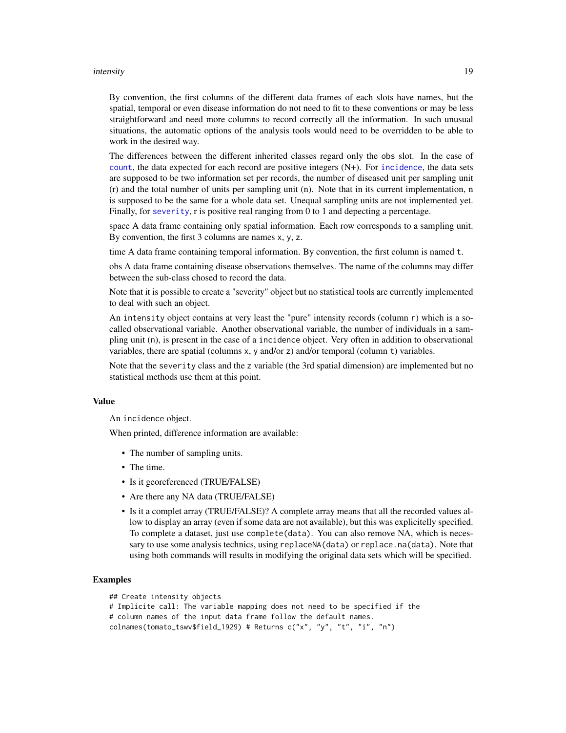#### <span id="page-18-0"></span>intensity and the set of the set of the set of the set of the set of the set of the set of the set of the set of the set of the set of the set of the set of the set of the set of the set of the set of the set of the set of

By convention, the first columns of the different data frames of each slots have names, but the spatial, temporal or even disease information do not need to fit to these conventions or may be less straightforward and need more columns to record correctly all the information. In such unusual situations, the automatic options of the analysis tools would need to be overridden to be able to work in the desired way.

The differences between the different inherited classes regard only the obs slot. In the case of [count](#page-17-1), the data expected for each record are positive integers (N+). For [incidence](#page-17-1), the data sets are supposed to be two information set per records, the number of diseased unit per sampling unit (r) and the total number of units per sampling unit (n). Note that in its current implementation, n is supposed to be the same for a whole data set. Unequal sampling units are not implemented yet. Finally, for [severity](#page-17-1), r is positive real ranging from 0 to 1 and depecting a percentage.

space A data frame containing only spatial information. Each row corresponds to a sampling unit. By convention, the first  $3$  columns are names  $x, y, z$ .

time A data frame containing temporal information. By convention, the first column is named t.

obs A data frame containing disease observations themselves. The name of the columns may differ between the sub-class chosed to record the data.

Note that it is possible to create a "severity" object but no statistical tools are currently implemented to deal with such an object.

An intensity object contains at very least the "pure" intensity records (column  $r$ ) which is a socalled observational variable. Another observational variable, the number of individuals in a sampling unit (n), is present in the case of a incidence object. Very often in addition to observational variables, there are spatial (columns x, y and/or z) and/or temporal (column t) variables.

Note that the severity class and the z variable (the 3rd spatial dimension) are implemented but no statistical methods use them at this point.

#### Value

An incidence object.

When printed, difference information are available:

- The number of sampling units.
- The time.
- Is it georeferenced (TRUE/FALSE)
- Are there any NA data (TRUE/FALSE)
- Is it a complet array (TRUE/FALSE)? A complete array means that all the recorded values allow to display an array (even if some data are not available), but this was explicitelly specified. To complete a dataset, just use complete(data). You can also remove NA, which is necessary to use some analysis technics, using replaceNA(data) or replace.na(data). Note that using both commands will results in modifying the original data sets which will be specified.

# Examples

```
## Create intensity objects
```

```
# Implicite call: The variable mapping does not need to be specified if the
# column names of the input data frame follow the default names.
```

```
colnames(tomato_tswv$field_1929) # Returns c("x", "y", "t", "i", "n")
```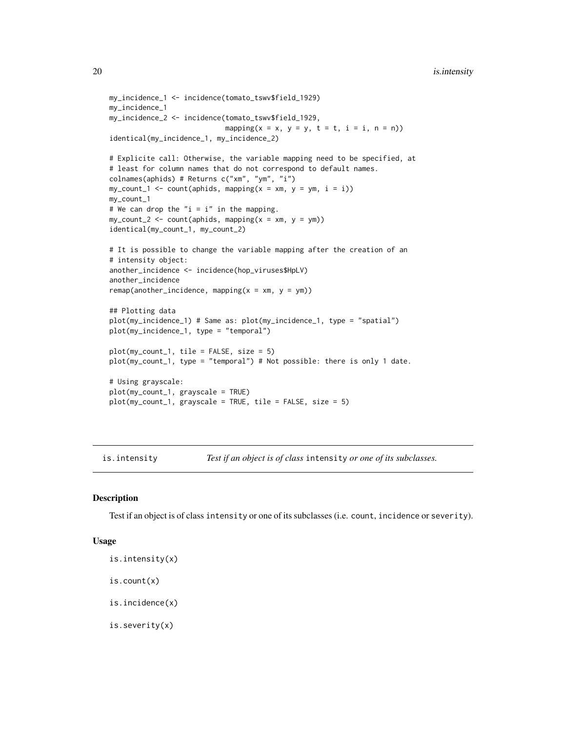```
my_incidence_1 <- incidence(tomato_tswv$field_1929)
my_incidence_1
my_incidence_2 <- incidence(tomato_tswv$field_1929,
                            mapping(x = x, y = y, t = t, i = i, n = n))
identical(my_incidence_1, my_incidence_2)
# Explicite call: Otherwise, the variable mapping need to be specified, at
# least for column names that do not correspond to default names.
colnames(aphids) # Returns c("xm", "ym", "i")
my_count_1 \leftarrow count(aphids, mapping(x = xm, y = ym, i = i))my_count_1
# We can drop the "i = i" in the mapping.
my_count_2 \leftarrow count(aphids, mapping(x = xm, y = ym))identical(my_count_1, my_count_2)
# It is possible to change the variable mapping after the creation of an
# intensity object:
another_incidence <- incidence(hop_viruses$HpLV)
another_incidence
remap(another_incidence, mapping(x = xm, y = ym))
## Plotting data
plot(my_incidence_1) # Same as: plot(my_incidence_1, type = "spatial")
plot(my_incidence_1, type = "temporal")
plot(my_count_1, tile = FALSE, size = 5)
plot(my_count_1, type = "temporal") # Not possible: there is only 1 date.
# Using grayscale:
plot(my_count_1, grayscale = TRUE)
plot(my_count_1, grayscale = TRUE, tile = FALSE, size = 5)
```
is.intensity *Test if an object is of class* intensity *or one of its subclasses.*

# Description

Test if an object is of class intensity or one of its subclasses (i.e. count, incidence or severity).

#### Usage

is.intensity(x)

is.count(x)

is.incidence(x)

is.severity(x)

<span id="page-19-0"></span>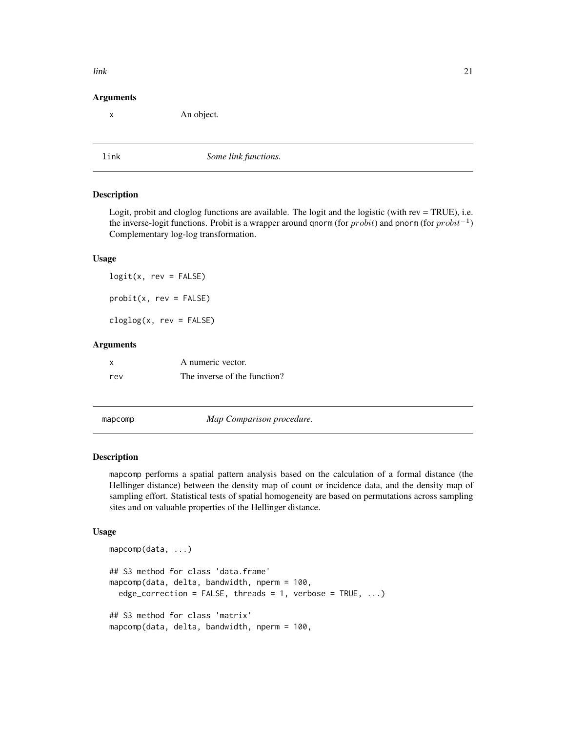# <span id="page-20-0"></span>Arguments

x An object.

link *Some link functions.*

#### **Description**

Logit, probit and cloglog functions are available. The logit and the logistic (with rev = TRUE), i.e. the inverse-logit functions. Probit is a wrapper around qnorm (for  $probit$ ) and pnorm (for  $probit^{-1}$ ) Complementary log-log transformation.

### Usage

 $logit(x, rev = FALSE)$  $probit(x, rev = FALSE)$ 

cloglog(x, rev = FALSE)

# Arguments

| X   | A numeric vector.            |
|-----|------------------------------|
| rev | The inverse of the function? |

mapcomp *Map Comparison procedure.*

# Description

mapcomp performs a spatial pattern analysis based on the calculation of a formal distance (the Hellinger distance) between the density map of count or incidence data, and the density map of sampling effort. Statistical tests of spatial homogeneity are based on permutations across sampling sites and on valuable properties of the Hellinger distance.

# Usage

```
mapcomp(data, ...)
## S3 method for class 'data.frame'
mapcomp(data, delta, bandwidth, nperm = 100,
  edge_correction = FALSE, threads = 1, verbose = TRUE, \ldots)
## S3 method for class 'matrix'
mapcomp(data, delta, bandwidth, nperm = 100,
```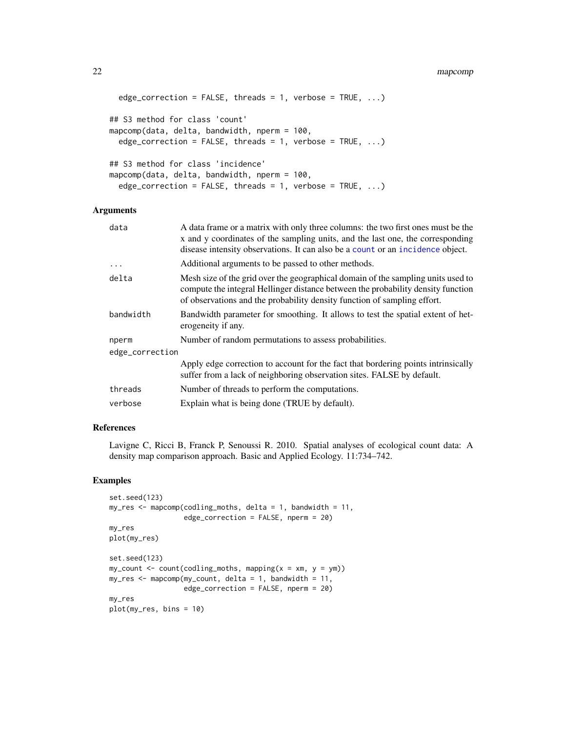#### <span id="page-21-0"></span>22 mapcomp

```
edge_correction = FALSE, threads = 1, verbose = TRUE, \ldots)
## S3 method for class 'count'
mapcomp(data, delta, bandwidth, nperm = 100,
  edge_correction = FALSE, threads = 1, verbose = TRUE, \ldots)
## S3 method for class 'incidence'
mapcomp(data, delta, bandwidth, nperm = 100,
  edge_correction = FALSE, threads = 1, verbose = TRUE, \ldots)
```
# Arguments

| data            | A data frame or a matrix with only three columns: the two first ones must be the<br>x and y coordinates of the sampling units, and the last one, the corresponding<br>disease intensity observations. It can also be a count or an incidence object. |  |
|-----------------|------------------------------------------------------------------------------------------------------------------------------------------------------------------------------------------------------------------------------------------------------|--|
| $\ddots$        | Additional arguments to be passed to other methods.                                                                                                                                                                                                  |  |
| delta           | Mesh size of the grid over the geographical domain of the sampling units used to<br>compute the integral Hellinger distance between the probability density function<br>of observations and the probability density function of sampling effort.     |  |
| bandwidth       | Bandwidth parameter for smoothing. It allows to test the spatial extent of het-<br>erogeneity if any.                                                                                                                                                |  |
| nperm           | Number of random permutations to assess probabilities.                                                                                                                                                                                               |  |
| edge_correction |                                                                                                                                                                                                                                                      |  |
|                 | Apply edge correction to account for the fact that bordering points intrinsically<br>suffer from a lack of neighboring observation sites. FALSE by default.                                                                                          |  |
| threads         | Number of threads to perform the computations.                                                                                                                                                                                                       |  |
| verbose         | Explain what is being done (TRUE by default).                                                                                                                                                                                                        |  |
|                 |                                                                                                                                                                                                                                                      |  |

# References

Lavigne C, Ricci B, Franck P, Senoussi R. 2010. Spatial analyses of ecological count data: A density map comparison approach. Basic and Applied Ecology. 11:734–742.

# Examples

```
set.seed(123)
my\_res \leq mapcomp(coding_moths, delta = 1, bandwidth = 11,edge_correction = FALSE, nperm = 20)
my_res
plot(my_res)
set.seed(123)
my_count \leftarrow count(coding_moths, mapping(x = xm, y = ym))my\_res < - mapcomp(my_count, delta = 1, bandwidth = 11,
                  edge_correction = FALSE, nperm = 20)
my_res
plot(my_res, bins = 10)
```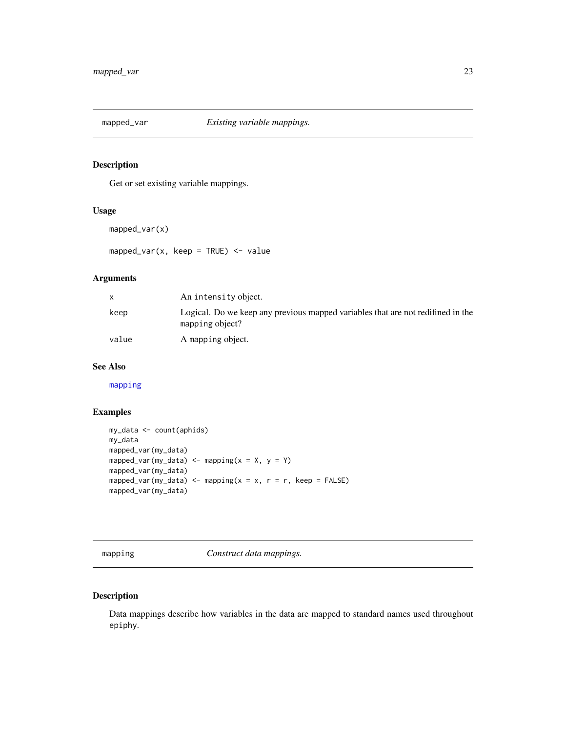<span id="page-22-2"></span><span id="page-22-0"></span>

Get or set existing variable mappings.

# Usage

```
mapped_var(x)
```
mapped\_var(x, keep = TRUE)  $\le$  value

# Arguments

| $\mathsf{x}$ | An intensity object.                                                                               |
|--------------|----------------------------------------------------------------------------------------------------|
| keep         | Logical. Do we keep any previous mapped variables that are not redifined in the<br>mapping object? |
| value        | A mapping object.                                                                                  |

# See Also

[mapping](#page-22-1)

# Examples

```
my_data <- count(aphids)
my_data
mapped_var(my_data)
mapped_var(my_data) <- mapping(x = X, y = Y)
mapped_var(my_data)
mapped_var(my_data) <- mapping(x = x, r = r, keep = FALSE)
mapped_var(my_data)
```
<span id="page-22-1"></span>mapping *Construct data mappings.*

# Description

Data mappings describe how variables in the data are mapped to standard names used throughout epiphy.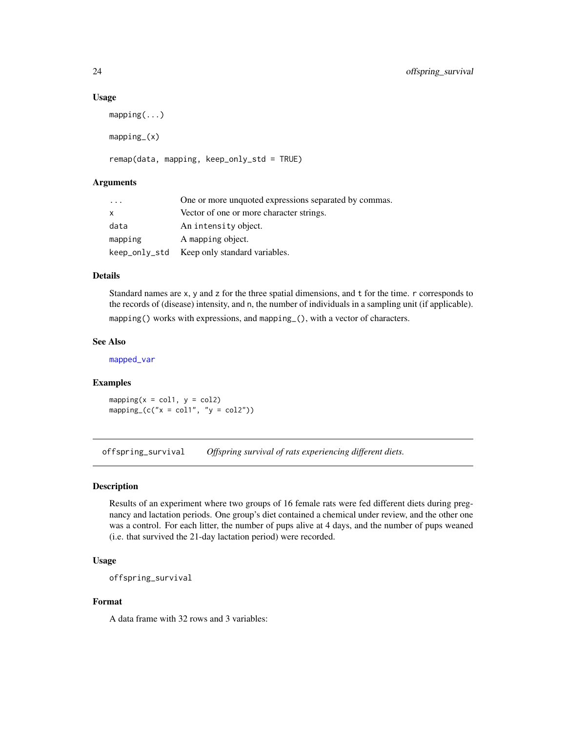#### Usage

```
mapping(...)
mapping_(x)
```
# remap(data, mapping, keep\_only\_std = TRUE)

# Arguments

| $\cdot$ $\cdot$ $\cdot$ | One or more unquoted expressions separated by commas. |
|-------------------------|-------------------------------------------------------|
| X                       | Vector of one or more character strings.              |
| data                    | An intensity object.                                  |
| mapping                 | A mapping object.                                     |
| keep_only_std           | Keep only standard variables.                         |

#### Details

Standard names are x, y and z for the three spatial dimensions, and t for the time. r corresponds to the records of (disease) intensity, and n, the number of individuals in a sampling unit (if applicable). mapping() works with expressions, and mapping\_(), with a vector of characters.

# See Also

[mapped\\_var](#page-22-2)

#### Examples

mapping( $x = \text{col1}, y = \text{col2}$ ) mapping\_ $(c("x = col1", "y = col2"))$ 

offspring\_survival *Offspring survival of rats experiencing different diets.*

# Description

Results of an experiment where two groups of 16 female rats were fed different diets during pregnancy and lactation periods. One group's diet contained a chemical under review, and the other one was a control. For each litter, the number of pups alive at 4 days, and the number of pups weaned (i.e. that survived the 21-day lactation period) were recorded.

# Usage

offspring\_survival

# Format

A data frame with 32 rows and 3 variables:

<span id="page-23-0"></span>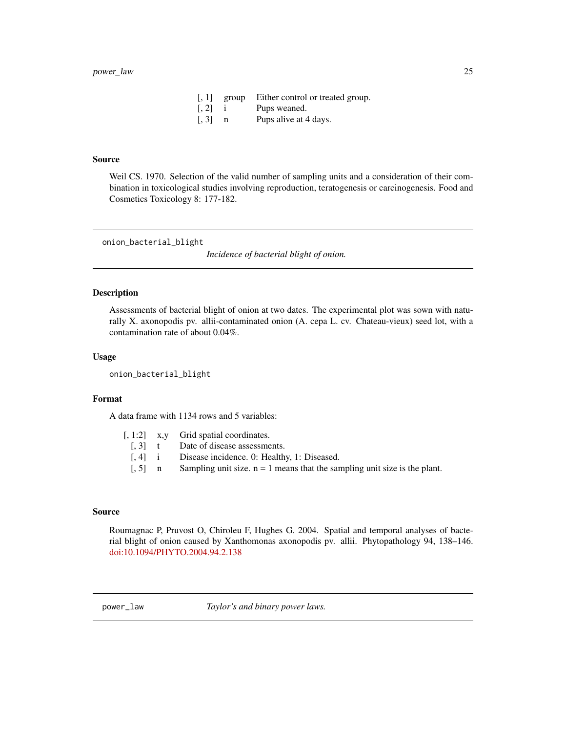|       | $[, 1]$ group | Either control or treated group. |
|-------|---------------|----------------------------------|
| [, 2] |               | Pups weaned.                     |
| [, 3] | n             | Pups alive at 4 days.            |

# <span id="page-24-0"></span>Source

Weil CS. 1970. Selection of the valid number of sampling units and a consideration of their combination in toxicological studies involving reproduction, teratogenesis or carcinogenesis. Food and Cosmetics Toxicology 8: 177-182.

onion\_bacterial\_blight

*Incidence of bacterial blight of onion.*

### Description

Assessments of bacterial blight of onion at two dates. The experimental plot was sown with naturally X. axonopodis pv. allii-contaminated onion (A. cepa L. cv. Chateau-vieux) seed lot, with a contamination rate of about 0.04%.

# Usage

onion\_bacterial\_blight

# Format

A data frame with 1134 rows and 5 variables:

|  | $\left[1, 1:2\right]$ x, y Grid spatial coordinates.                                |
|--|-------------------------------------------------------------------------------------|
|  | [. 3] t Date of disease assessments.                                                |
|  | [, 4] i Disease incidence. 0: Healthy, 1: Diseased.                                 |
|  | [, 5] n Sampling unit size. $n = 1$ means that the sampling unit size is the plant. |
|  |                                                                                     |

# Source

Roumagnac P, Pruvost O, Chiroleu F, Hughes G. 2004. Spatial and temporal analyses of bacterial blight of onion caused by Xanthomonas axonopodis pv. allii. Phytopathology 94, 138–146. [doi:10.1094/PHYTO.2004.94.2.138](http://dx.doi.org/10.1094/PHYTO.2004.94.2.138)

power\_law *Taylor's and binary power laws.*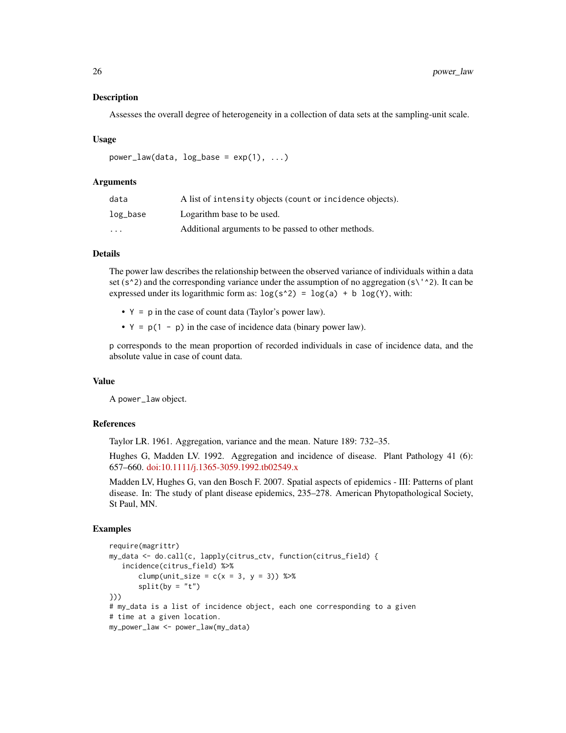Assesses the overall degree of heterogeneity in a collection of data sets at the sampling-unit scale.

# Usage

 $power_law(data, log_base = exp(1), ...)$ 

# Arguments

| data              | A list of intensity objects (count or incidence objects). |
|-------------------|-----------------------------------------------------------|
| log_base          | Logarithm base to be used.                                |
| $\cdot\cdot\cdot$ | Additional arguments to be passed to other methods.       |

# Details

The power law describes the relationship between the observed variance of individuals within a data set (s^2) and the corresponding variance under the assumption of no aggregation (s\'^2). It can be expressed under its logarithmic form as:  $log(s^2) = log(a) + b log(Y)$ , with:

- $Y = p$  in the case of count data (Taylor's power law).
- $Y = p(1 p)$  in the case of incidence data (binary power law).

p corresponds to the mean proportion of recorded individuals in case of incidence data, and the absolute value in case of count data.

# Value

A power\_law object.

# References

Taylor LR. 1961. Aggregation, variance and the mean. Nature 189: 732–35.

Hughes G, Madden LV. 1992. Aggregation and incidence of disease. Plant Pathology 41 (6): 657–660. [doi:10.1111/j.1365-3059.1992.tb02549.x](http://dx.doi.org/10.1111/j.1365-3059.1992.tb02549.x)

Madden LV, Hughes G, van den Bosch F. 2007. Spatial aspects of epidemics - III: Patterns of plant disease. In: The study of plant disease epidemics, 235–278. American Phytopathological Society, St Paul, MN.

# Examples

```
require(magrittr)
my_data <- do.call(c, lapply(citrus_ctv, function(citrus_field) {
   incidence(citrus_field) %>%
      clump(unit_size = c(x = 3, y = 3)) %>%
      split(by = "t")}))
# my_data is a list of incidence object, each one corresponding to a given
# time at a given location.
my_power_law <- power_law(my_data)
```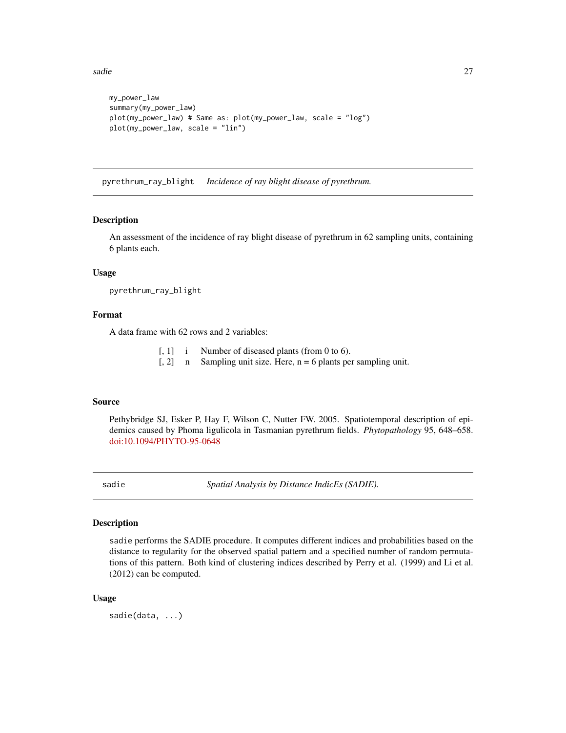<span id="page-26-0"></span>sadie 27

```
my_power_law
summary(my_power_law)
plot(my_power_law) # Same as: plot(my_power_law, scale = "log")
plot(my_power_law, scale = "lin")
```
pyrethrum\_ray\_blight *Incidence of ray blight disease of pyrethrum.*

# **Description**

An assessment of the incidence of ray blight disease of pyrethrum in 62 sampling units, containing 6 plants each.

# Usage

pyrethrum\_ray\_blight

# Format

A data frame with 62 rows and 2 variables:

- [, 1] i Number of diseased plants (from 0 to 6).
- $[$ , 2 $]$  n Sampling unit size. Here, n = 6 plants per sampling unit.

# Source

Pethybridge SJ, Esker P, Hay F, Wilson C, Nutter FW. 2005. Spatiotemporal description of epidemics caused by Phoma ligulicola in Tasmanian pyrethrum fields. *Phytopathology* 95, 648–658. [doi:10.1094/PHYTO-95-0648](http://dx.doi.org/10.1094/PHYTO-95-0648)

sadie *Spatial Analysis by Distance IndicEs (SADIE).*

# Description

sadie performs the SADIE procedure. It computes different indices and probabilities based on the distance to regularity for the observed spatial pattern and a specified number of random permutations of this pattern. Both kind of clustering indices described by Perry et al. (1999) and Li et al. (2012) can be computed.

#### Usage

sadie(data, ...)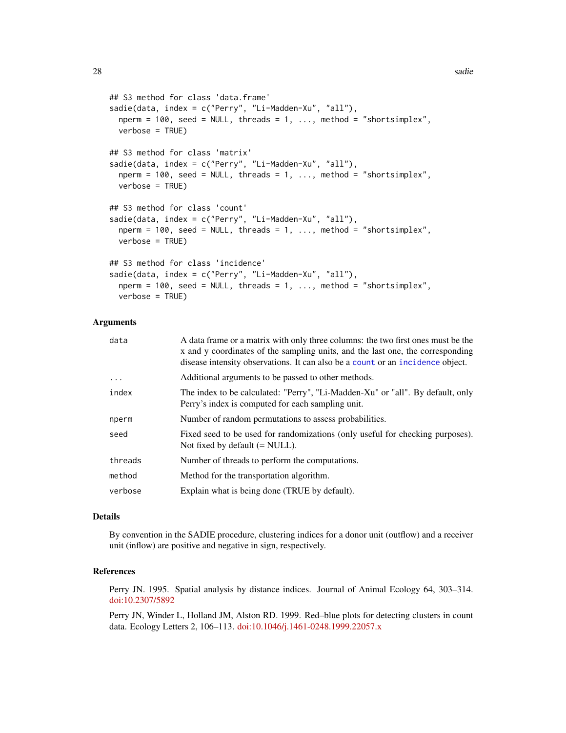```
## S3 method for class 'data.frame'
sadie(data, index = c("Perry", "Li-Madden-Xu", "all"),
 nperm = 100, seed = NULL, threads = 1, ..., method = "shortsimplex",
 verbose = TRUE)
## S3 method for class 'matrix'
sadie(data, index = c("Perry", "Li-Madden-Xu", "all"),
 nperm = 100, seed = NULL, threads = 1, ..., method = "shortsimplex",
 verbose = TRUE)
## S3 method for class 'count'
sadie(data, index = c("Perry", "Li-Madden-Xu", "all"),
 nperm = 100, seed = NULL, threads = 1, ..., method = "shortsimplex",
 verbose = TRUE)
## S3 method for class 'incidence'
sadie(data, index = c("Perry", "Li-Madden-Xu", "all"),
 nperm = 100, seed = NULL, threads = 1, ..., method = "shortsimplex",
 verbose = TRUE)
```
# Arguments

| data     | A data frame or a matrix with only three columns: the two first ones must be the<br>x and y coordinates of the sampling units, and the last one, the corresponding<br>disease intensity observations. It can also be a count or an incidence object. |
|----------|------------------------------------------------------------------------------------------------------------------------------------------------------------------------------------------------------------------------------------------------------|
| $\ddots$ | Additional arguments to be passed to other methods.                                                                                                                                                                                                  |
| index    | The index to be calculated: "Perry", "Li-Madden-Xu" or "all". By default, only<br>Perry's index is computed for each sampling unit.                                                                                                                  |
| nperm    | Number of random permutations to assess probabilities.                                                                                                                                                                                               |
| seed     | Fixed seed to be used for randomizations (only useful for checking purposes).<br>Not fixed by default $(= NULL)$ .                                                                                                                                   |
| threads  | Number of threads to perform the computations.                                                                                                                                                                                                       |
| method   | Method for the transportation algorithm.                                                                                                                                                                                                             |
| verbose  | Explain what is being done (TRUE by default).                                                                                                                                                                                                        |

# Details

By convention in the SADIE procedure, clustering indices for a donor unit (outflow) and a receiver unit (inflow) are positive and negative in sign, respectively.

# References

Perry JN. 1995. Spatial analysis by distance indices. Journal of Animal Ecology 64, 303–314. [doi:10.2307/5892](http://dx.doi.org/10.2307/5892)

Perry JN, Winder L, Holland JM, Alston RD. 1999. Red–blue plots for detecting clusters in count data. Ecology Letters 2, 106–113. [doi:10.1046/j.1461-0248.1999.22057.x](http://dx.doi.org/10.1046/j.1461-0248.1999.22057.x)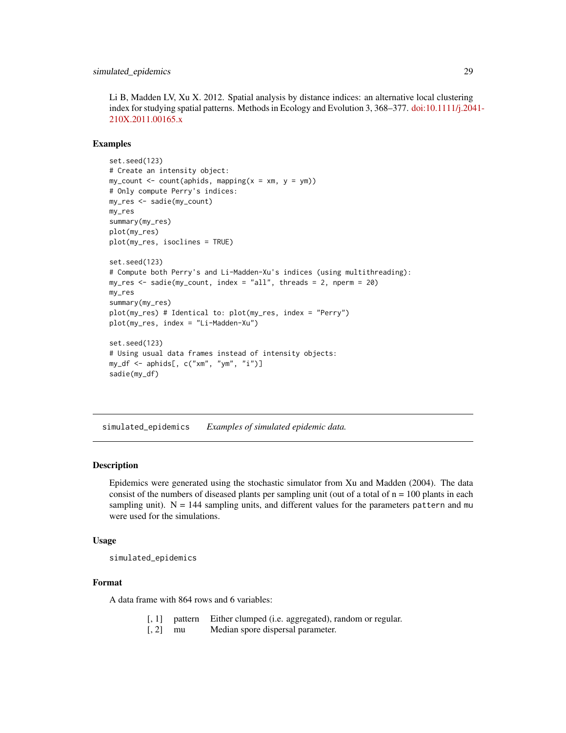<span id="page-28-0"></span>Li B, Madden LV, Xu X. 2012. Spatial analysis by distance indices: an alternative local clustering index for studying spatial patterns. Methods in Ecology and Evolution 3, 368–377. [doi:10.1111/j.204](http://dx.doi.org/10.1111/j.2041-210X.2011.00165.x)1- [210X.2011.00165.x](http://dx.doi.org/10.1111/j.2041-210X.2011.00165.x)

# Examples

```
set.seed(123)
# Create an intensity object:
my_count \leftarrow count(aphids, mapping(x = xm, y = ym))# Only compute Perry's indices:
my_res <- sadie(my_count)
my_res
summary(my_res)
plot(my_res)
plot(my_res, isoclines = TRUE)
set.seed(123)
# Compute both Perry's and Li-Madden-Xu's indices (using multithreading):
my_res <- sadie(my_count, index = "all", threads = 2, nperm = 20)
my_res
summary(my_res)
plot(my_res) # Identical to: plot(my_res, index = "Perry")
plot(my_res, index = "Li-Madden-Xu")
set.seed(123)
# Using usual data frames instead of intensity objects:
my_df <- aphids[, c("xm", "ym", "i")]
sadie(my_df)
```
simulated\_epidemics *Examples of simulated epidemic data.*

# Description

Epidemics were generated using the stochastic simulator from Xu and Madden (2004). The data consist of the numbers of diseased plants per sampling unit (out of a total of  $n = 100$  plants in each sampling unit).  $N = 144$  sampling units, and different values for the parameters pattern and mu were used for the simulations.

# Usage

simulated\_epidemics

# Format

A data frame with 864 rows and 6 variables:

- [, 1] pattern Either clumped (i.e. aggregated), random or regular.
- [, 2] mu Median spore dispersal parameter.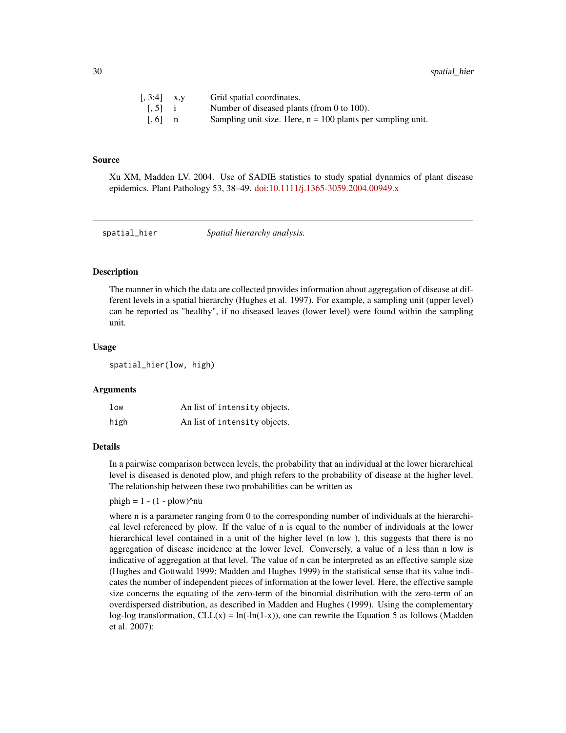<span id="page-29-0"></span>

| $[, 3:4]$ x,y         | Grid spatial coordinates.                                     |
|-----------------------|---------------------------------------------------------------|
| $\left[ .5 \right]$ i | Number of diseased plants (from 0 to 100).                    |
| $\lceil 0.6 \rceil$ n | Sampling unit size. Here, $n = 100$ plants per sampling unit. |

#### Source

Xu XM, Madden LV. 2004. Use of SADIE statistics to study spatial dynamics of plant disease epidemics. Plant Pathology 53, 38–49. [doi:10.1111/j.1365-3059.2004.00949.x](http://dx.doi.org/10.1111/j.1365-3059.2004.00949.x)

spatial\_hier *Spatial hierarchy analysis.*

# **Description**

The manner in which the data are collected provides information about aggregation of disease at different levels in a spatial hierarchy (Hughes et al. 1997). For example, a sampling unit (upper level) can be reported as "healthy", if no diseased leaves (lower level) were found within the sampling unit.

# Usage

spatial\_hier(low, high)

#### Arguments

| 1 <sub>ow</sub> | An list of intensity objects. |
|-----------------|-------------------------------|
| high            | An list of intensity objects. |

# Details

In a pairwise comparison between levels, the probability that an individual at the lower hierarchical level is diseased is denoted plow, and phigh refers to the probability of disease at the higher level. The relationship between these two probabilities can be written as

phigh =  $1 - (1 - \text{plow})^n$ nu

where n is a parameter ranging from 0 to the corresponding number of individuals at the hierarchical level referenced by plow. If the value of n is equal to the number of individuals at the lower hierarchical level contained in a unit of the higher level (n low), this suggests that there is no aggregation of disease incidence at the lower level. Conversely, a value of n less than n low is indicative of aggregation at that level. The value of n can be interpreted as an effective sample size (Hughes and Gottwald 1999; Madden and Hughes 1999) in the statistical sense that its value indicates the number of independent pieces of information at the lower level. Here, the effective sample size concerns the equating of the zero-term of the binomial distribution with the zero-term of an overdispersed distribution, as described in Madden and Hughes (1999). Using the complementary log-log transformation,  $CLL(x) = ln(-ln(1-x))$ , one can rewrite the Equation 5 as follows (Madden et al. 2007):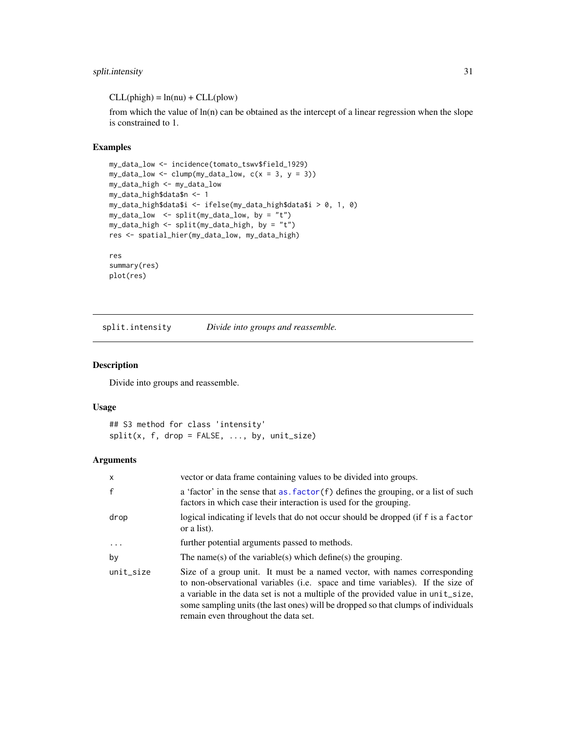# <span id="page-30-0"></span>split.intensity 31

 $CLL(phi) = ln(nu) + CLL(plow)$ 

from which the value of  $ln(n)$  can be obtained as the intercept of a linear regression when the slope is constrained to 1.

# Examples

```
my_data_low <- incidence(tomato_tswv$field_1929)
my\_data\_low \leftarrow clump(my\_data\_low, c(x = 3, y = 3))my_data_high <- my_data_low
my_data_high$data$n <- 1
my_data_high$data$i <- ifelse(my_data_high$data$i > 0, 1, 0)
my_data_low <- split(my_data_low, by = "t")
my_data_high <- split(my_data_high, by = "t")
res <- spatial_hier(my_data_low, my_data_high)
res
```

```
summary(res)
plot(res)
```
split.intensity *Divide into groups and reassemble.*

# Description

Divide into groups and reassemble.

# Usage

```
## S3 method for class 'intensity'
split(x, f, drop = FALSE, ..., by, unit_size)
```
# Arguments

| $\mathsf{x}$ | vector or data frame containing values to be divided into groups.                                                                                                                                                                                                                                                                                                            |
|--------------|------------------------------------------------------------------------------------------------------------------------------------------------------------------------------------------------------------------------------------------------------------------------------------------------------------------------------------------------------------------------------|
| $\mathsf{f}$ | a 'factor' in the sense that as $factor(f)$ defines the grouping, or a list of such<br>factors in which case their interaction is used for the grouping.                                                                                                                                                                                                                     |
| drop         | logical indicating if levels that do not occur should be dropped (if f is a factor<br>or a list).                                                                                                                                                                                                                                                                            |
| $\ddotsc$    | further potential arguments passed to methods.                                                                                                                                                                                                                                                                                                                               |
| by           | The name(s) of the variable(s) which define(s) the grouping.                                                                                                                                                                                                                                                                                                                 |
| unit_size    | Size of a group unit. It must be a named vector, with names corresponding<br>to non-observational variables (i.e. space and time variables). If the size of<br>a variable in the data set is not a multiple of the provided value in unit_size,<br>some sampling units (the last ones) will be dropped so that clumps of individuals<br>remain even throughout the data set. |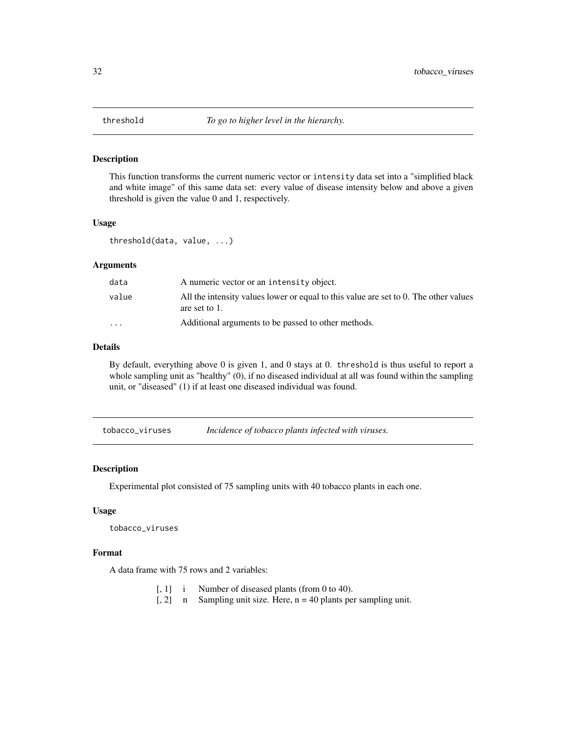<span id="page-31-0"></span>

This function transforms the current numeric vector or intensity data set into a "simplified black and white image" of this same data set: every value of disease intensity below and above a given threshold is given the value 0 and 1, respectively.

# Usage

threshold(data, value, ...)

# Arguments

| data                    | A numeric vector or an intensity object.                                                              |
|-------------------------|-------------------------------------------------------------------------------------------------------|
| value                   | All the intensity values lower or equal to this value are set to 0. The other values<br>are set to 1. |
| $\cdot$ $\cdot$ $\cdot$ | Additional arguments to be passed to other methods.                                                   |

# Details

By default, everything above 0 is given 1, and 0 stays at 0. threshold is thus useful to report a whole sampling unit as "healthy" (0), if no diseased individual at all was found within the sampling unit, or "diseased" (1) if at least one diseased individual was found.

tobacco\_viruses *Incidence of tobacco plants infected with viruses.*

# Description

Experimental plot consisted of 75 sampling units with 40 tobacco plants in each one.

#### Usage

```
tobacco_viruses
```
# Format

A data frame with 75 rows and 2 variables:

- [, 1] i Number of diseased plants (from 0 to 40).
- [, 2] n Sampling unit size. Here, n = 40 plants per sampling unit.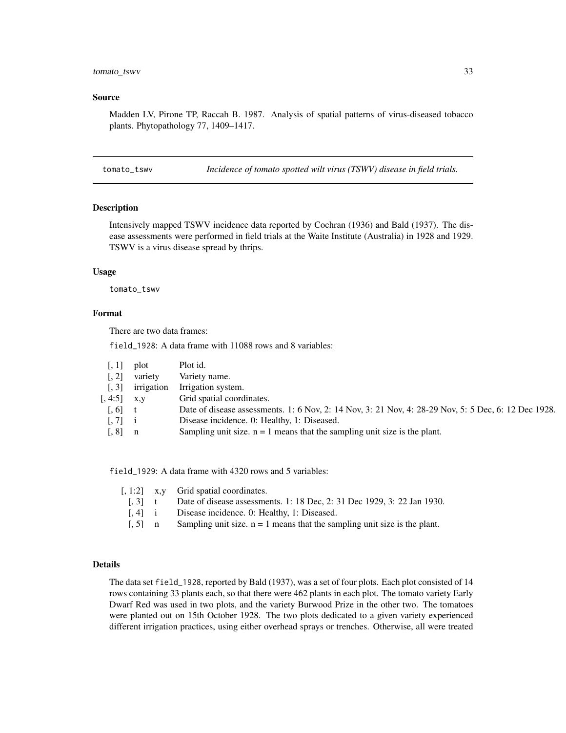# <span id="page-32-0"></span>tomato\_tswv 33

#### Source

Madden LV, Pirone TP, Raccah B. 1987. Analysis of spatial patterns of virus-diseased tobacco plants. Phytopathology 77, 1409–1417.

tomato\_tswv *Incidence of tomato spotted wilt virus (TSWV) disease in field trials.*

# Description

Intensively mapped TSWV incidence data reported by Cochran (1936) and Bald (1937). The disease assessments were performed in field trials at the Waite Institute (Australia) in 1928 and 1929. TSWV is a virus disease spread by thrips.

# Usage

tomato\_tswv

#### Format

There are two data frames:

field\_1928: A data frame with 11088 rows and 8 variables:

| $\lceil, 1\rceil$     | plot       | Plot id.                                                                                             |
|-----------------------|------------|------------------------------------------------------------------------------------------------------|
| $\lceil$ , 2]         | variety    | Variety name.                                                                                        |
| $\left[ 1, 3 \right]$ | irrigation | Irrigation system.                                                                                   |
| [, 4:5]               | X, V       | Grid spatial coordinates.                                                                            |
| $\left[ 0.6\right]$   |            | Date of disease assessments. 1: 6 Nov, 2: 14 Nov, 3: 21 Nov, 4: 28-29 Nov, 5: 5 Dec, 6: 12 Dec 1928. |
| $\left[ 7 \right]$ i  |            | Disease incidence. 0: Healthy, 1: Diseased.                                                          |
| $\lceil, 8\rceil$     |            | Sampling unit size. $n = 1$ means that the sampling unit size is the plant.                          |

field\_1929: A data frame with 4320 rows and 5 variables:

|                       | $\lceil$ , 1:2 x, y Grid spatial coordinates.                               |
|-----------------------|-----------------------------------------------------------------------------|
| $\left[ .3 \right]$ t | Date of disease assessments. 1: 18 Dec, 2: 31 Dec 1929, 3: 22 Jan 1930.     |
| $[.4]$ i              | Disease incidence. 0: Healthy, 1: Diseased.                                 |
| $\left[ .5 \right]$ n | Sampling unit size. $n = 1$ means that the sampling unit size is the plant. |
|                       |                                                                             |

# Details

The data set field\_1928, reported by Bald (1937), was a set of four plots. Each plot consisted of 14 rows containing 33 plants each, so that there were 462 plants in each plot. The tomato variety Early Dwarf Red was used in two plots, and the variety Burwood Prize in the other two. The tomatoes were planted out on 15th October 1928. The two plots dedicated to a given variety experienced different irrigation practices, using either overhead sprays or trenches. Otherwise, all were treated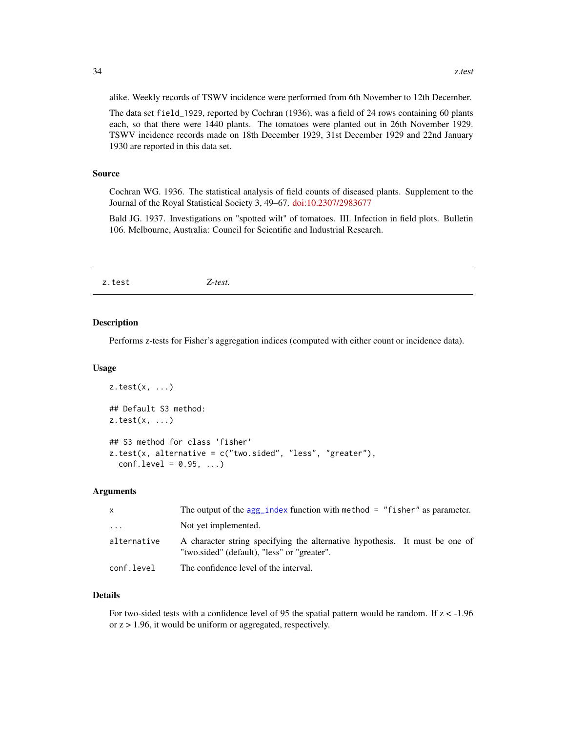alike. Weekly records of TSWV incidence were performed from 6th November to 12th December.

The data set field\_1929, reported by Cochran (1936), was a field of 24 rows containing 60 plants each, so that there were 1440 plants. The tomatoes were planted out in 26th November 1929. TSWV incidence records made on 18th December 1929, 31st December 1929 and 22nd January 1930 are reported in this data set.

# Source

Cochran WG. 1936. The statistical analysis of field counts of diseased plants. Supplement to the Journal of the Royal Statistical Society 3, 49–67. [doi:10.2307/2983677](http://dx.doi.org/10.2307/2983677)

Bald JG. 1937. Investigations on "spotted wilt" of tomatoes. III. Infection in field plots. Bulletin 106. Melbourne, Australia: Council for Scientific and Industrial Research.

<span id="page-33-1"></span>z.test *Z-test.*

# Description

Performs z-tests for Fisher's aggregation indices (computed with either count or incidence data).

#### Usage

```
z.test(x, ...)## Default S3 method:
z.test(x, \ldots)## S3 method for class 'fisher'
z.test(x, alternative = c("two.sided", "less", "greater"),
  conf. level = 0.95, ...
```
# Arguments

| $\mathsf{X}$ | The output of the $agg\_index$ function with method = "fisher" as parameter.                                               |
|--------------|----------------------------------------------------------------------------------------------------------------------------|
| .            | Not yet implemented.                                                                                                       |
| alternative  | A character string specifying the alternative hypothesis. It must be one of<br>"two.sided" (default), "less" or "greater". |
| conf.level   | The confidence level of the interval.                                                                                      |

# Details

For two-sided tests with a confidence level of 95 the spatial pattern would be random. If z < -1.96 or  $z > 1.96$ , it would be uniform or aggregated, respectively.

<span id="page-33-0"></span>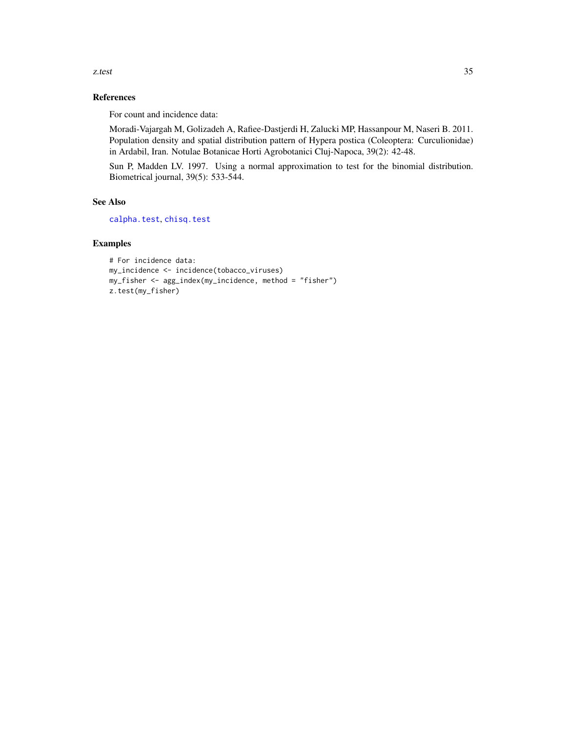# References

For count and incidence data:

Moradi-Vajargah M, Golizadeh A, Rafiee-Dastjerdi H, Zalucki MP, Hassanpour M, Naseri B. 2011. Population density and spatial distribution pattern of Hypera postica (Coleoptera: Curculionidae) in Ardabil, Iran. Notulae Botanicae Horti Agrobotanici Cluj-Napoca, 39(2): 42-48.

Sun P, Madden LV. 1997. Using a normal approximation to test for the binomial distribution. Biometrical journal, 39(5): 533-544.

# See Also

[calpha.test](#page-8-1), [chisq.test](#page-10-1)

# Examples

```
# For incidence data:
my_incidence <- incidence(tobacco_viruses)
my_fisher <- agg_index(my_incidence, method = "fisher")
z.test(my_fisher)
```
<span id="page-34-0"></span>z.test 35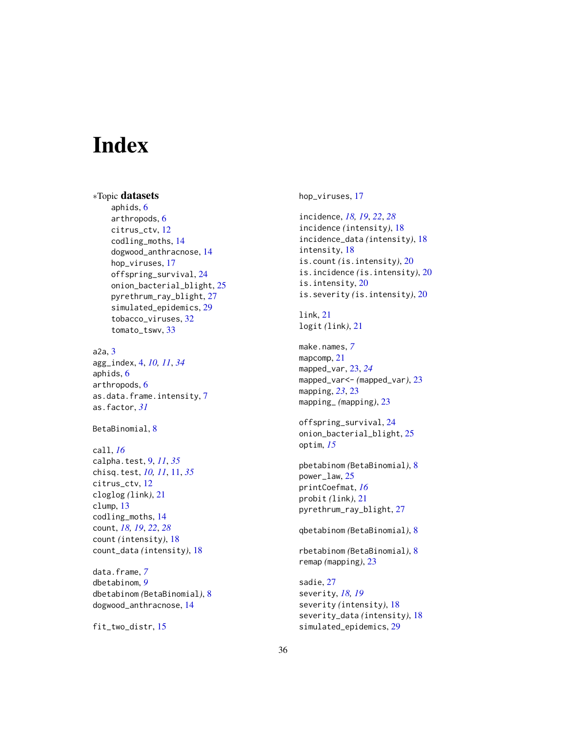# <span id="page-35-0"></span>**Index**

∗Topic datasets aphids, [6](#page-5-0) arthropods, [6](#page-5-0) citrus\_ctv, [12](#page-11-0) codling\_moths, [14](#page-13-0) dogwood\_anthracnose, [14](#page-13-0) hop\_viruses, [17](#page-16-0) offspring\_survival, [24](#page-23-0) onion\_bacterial\_blight, [25](#page-24-0) pyrethrum\_ray\_blight, [27](#page-26-0) simulated\_epidemics, [29](#page-28-0) tobacco\_viruses, [32](#page-31-0) tomato\_tswv, [33](#page-32-0)

a2a, [3](#page-2-0) agg\_index, [4,](#page-3-0) *[10,](#page-9-0) [11](#page-10-0)*, *[34](#page-33-0)* aphids, [6](#page-5-0) arthropods, [6](#page-5-0) as.data.frame.intensity, [7](#page-6-0) as.factor, *[31](#page-30-0)*

BetaBinomial, [8](#page-7-0)

```
call, 16
calpha.test, 9, 11, 35
chisq.test, 10, 11, 11, 35
citrus_ctv, 12
cloglog (link), 21
clump, 13
codling_moths, 14
count, 18, 19, 22, 28
count (intensity), 18
count_data (intensity), 18
```
data.frame, *[7](#page-6-0)* dbetabinom, *[9](#page-8-0)* dbetabinom *(*BetaBinomial*)*, [8](#page-7-0) dogwood\_anthracnose, [14](#page-13-0)

fit\_two\_distr, [15](#page-14-0)

hop\_viruses, [17](#page-16-0)

```
incidence, 18, 19, 22, 28
incidence (intensity), 18
incidence_data (intensity), 18
intensity, 18
is.count (is.intensity), 20
is.incidence (is.intensity), 20
is.intensity, 20
is.severity (is.intensity), 20
link, 21
logit (link), 21
make.names, 7
mapcomp, 21
mapped_var, 23, 24
mapped_var<- (mapped_var), 23
mapping, 23, 23
mapping_ (mapping), 23
offspring_survival, 24
onion_bacterial_blight, 25
optim, 15
pbetabinom (BetaBinomial), 8
power_law, 25
printCoefmat, 16
probit (link), 21
pyrethrum_ray_blight, 27
qbetabinom (BetaBinomial), 8
rbetabinom (BetaBinomial), 8
remap (mapping), 23
```
sadie, [27](#page-26-0) severity, *[18,](#page-17-0) [19](#page-18-0)* severity *(*intensity*)*, [18](#page-17-0) severity\_data *(*intensity*)*, [18](#page-17-0) simulated\_epidemics, [29](#page-28-0)